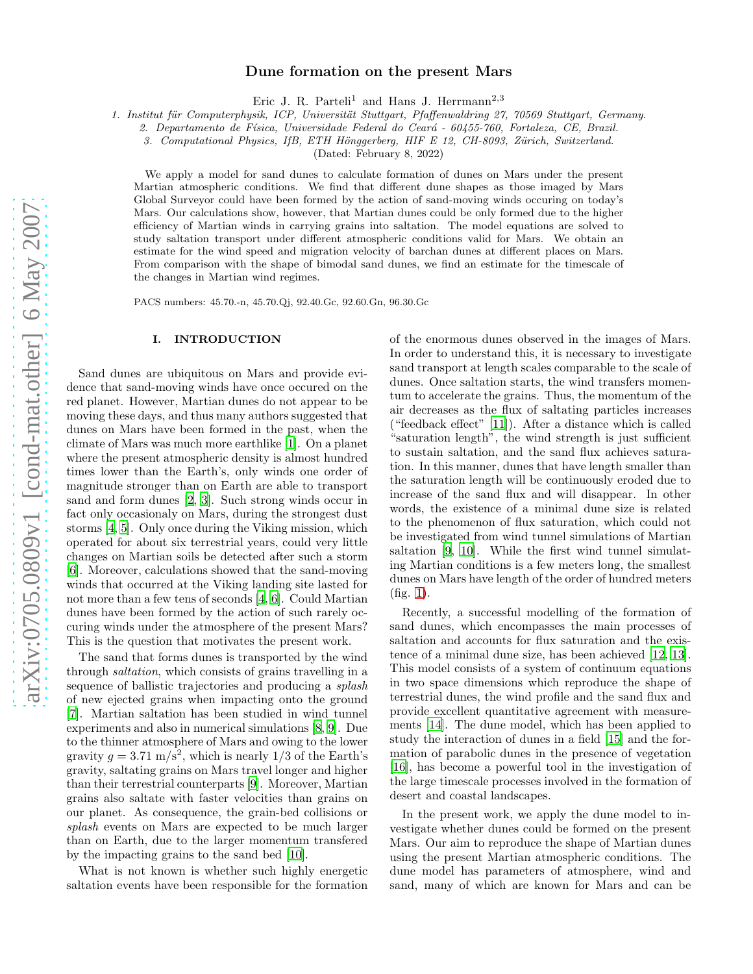# Dune formation on the present Mars

Eric J. R. Parteli<sup>1</sup> and Hans J. Herrmann<sup>2,3</sup>

1. Institut für Computerphysik, ICP, Universität Stuttgart, Pfaffenwaldring 27, 70569 Stuttgart, Germany.

2. Departamento de Física, Universidade Federal do Ceará - 60455-760, Fortaleza, CE, Brazil.

3. Computational Physics, IfB, ETH Hönggerberg, HIF E 12, CH-8093, Zürich, Switzerland.

(Dated: February 8, 2022)

We apply a model for sand dunes to calculate formation of dunes on Mars under the present Martian atmospheric conditions. We find that different dune shapes as those imaged by Mars Global Surveyor could have been formed by the action of sand-moving winds occuring on today's Mars. Our calculations show, however, that Martian dunes could be only formed due to the higher efficiency of Martian winds in carrying grains into saltation. The model equations are solved to study saltation transport under different atmospheric conditions valid for Mars. We obtain an estimate for the wind speed and migration velocity of barchan dunes at different places on Mars. From comparison with the shape of bimodal sand dunes, we find an estimate for the timescale of the changes in Martian wind regimes.

PACS numbers: 45.70.-n, 45.70.Qj, 92.40.Gc, 92.60.Gn, 96.30.Gc

## I. INTRODUCTION

Sand dunes are ubiquitous on Mars and provide evidence that sand-moving winds have once occured on the red planet. However, Martian dunes do not appear to be moving these days, and thus many authors suggested that dunes on Mars have been formed in the past, when the climate of Mars was much more earthlike [\[1](#page-14-0)]. On a planet where the present atmospheric density is almost hundred times lower than the Earth's, only winds one order of magnitude stronger than on Earth are able to transport sand and form dunes [\[2,](#page-14-1) [3\]](#page-14-2). Such strong winds occur in fact only occasionaly on Mars, during the strongest dust storms [\[4,](#page-14-3) [5](#page-14-4)]. Only once during the Viking mission, which operated for about six terrestrial years, could very little changes on Martian soils be detected after such a storm [\[6\]](#page-14-5). Moreover, calculations showed that the sand-moving winds that occurred at the Viking landing site lasted for not more than a few tens of seconds [\[4,](#page-14-3) [6\]](#page-14-5). Could Martian dunes have been formed by the action of such rarely occuring winds under the atmosphere of the present Mars? This is the question that motivates the present work.

The sand that forms dunes is transported by the wind through saltation, which consists of grains travelling in a sequence of ballistic trajectories and producing a *splash* of new ejected grains when impacting onto the ground [\[7\]](#page-14-6). Martian saltation has been studied in wind tunnel experiments and also in numerical simulations [\[8](#page-14-7), [9\]](#page-14-8). Due to the thinner atmosphere of Mars and owing to the lower gravity  $g = 3.71 \text{ m/s}^2$ , which is nearly 1/3 of the Earth's gravity, saltating grains on Mars travel longer and higher than their terrestrial counterparts [\[9\]](#page-14-8). Moreover, Martian grains also saltate with faster velocities than grains on our planet. As consequence, the grain-bed collisions or splash events on Mars are expected to be much larger than on Earth, due to the larger momentum transfered by the impacting grains to the sand bed [\[10\]](#page-15-0).

What is not known is whether such highly energetic saltation events have been responsible for the formation of the enormous dunes observed in the images of Mars. In order to understand this, it is necessary to investigate sand transport at length scales comparable to the scale of dunes. Once saltation starts, the wind transfers momentum to accelerate the grains. Thus, the momentum of the air decreases as the flux of saltating particles increases ("feedback effect" [\[11\]](#page-15-1)). After a distance which is called "saturation length", the wind strength is just sufficient to sustain saltation, and the sand flux achieves saturation. In this manner, dunes that have length smaller than the saturation length will be continuously eroded due to increase of the sand flux and will disappear. In other words, the existence of a minimal dune size is related to the phenomenon of flux saturation, which could not be investigated from wind tunnel simulations of Martian saltation [\[9](#page-14-8), [10\]](#page-15-0). While the first wind tunnel simulating Martian conditions is a few meters long, the smallest dunes on Mars have length of the order of hundred meters (fig. [1\)](#page-1-0).

Recently, a successful modelling of the formation of sand dunes, which encompasses the main processes of saltation and accounts for flux saturation and the existence of a minimal dune size, has been achieved [\[12,](#page-15-2) [13\]](#page-15-3). This model consists of a system of continuum equations in two space dimensions which reproduce the shape of terrestrial dunes, the wind profile and the sand flux and provide excellent quantitative agreement with measurements [\[14](#page-15-4)]. The dune model, which has been applied to study the interaction of dunes in a field [\[15\]](#page-15-5) and the formation of parabolic dunes in the presence of vegetation [\[16\]](#page-15-6), has become a powerful tool in the investigation of the large timescale processes involved in the formation of desert and coastal landscapes.

In the present work, we apply the dune model to investigate whether dunes could be formed on the present Mars. Our aim to reproduce the shape of Martian dunes using the present Martian atmospheric conditions. The dune model has parameters of atmosphere, wind and sand, many of which are known for Mars and can be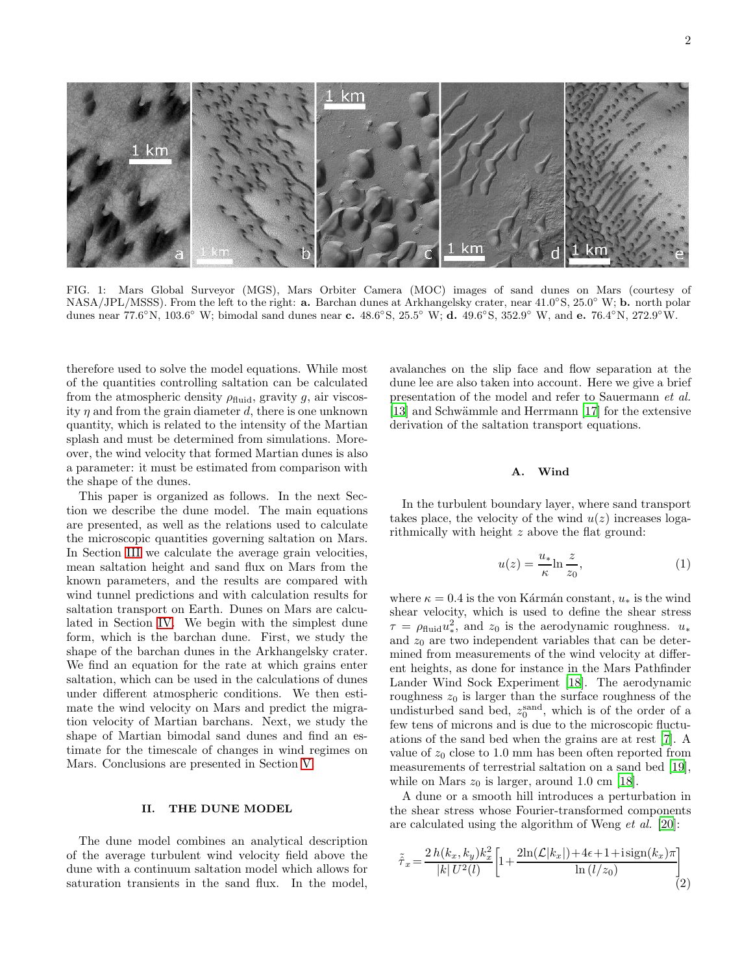

<span id="page-1-0"></span>FIG. 1: Mars Global Surveyor (MGS), Mars Orbiter Camera (MOC) images of sand dunes on Mars (courtesy of NASA/JPL/MSSS). From the left to the right: **a.** Barchan dunes at Arkhangelsky crater, near 41.0°S, 25.0° W; **b.** north polar dunes near 77.6°N, 103.6° W; bimodal sand dunes near c. 48.6°S, 25.5° W; d. 49.6°S, 352.9° W, and e. 76.4°N, 272.9°W.

therefore used to solve the model equations. While most of the quantities controlling saltation can be calculated from the atmospheric density  $\rho_{\text{fluid}}$ , gravity g, air viscosity  $\eta$  and from the grain diameter d, there is one unknown quantity, which is related to the intensity of the Martian splash and must be determined from simulations. Moreover, the wind velocity that formed Martian dunes is also a parameter: it must be estimated from comparison with the shape of the dunes.

This paper is organized as follows. In the next Section we describe the dune model. The main equations are presented, as well as the relations used to calculate the microscopic quantities governing saltation on Mars. In Section [III](#page-5-0) we calculate the average grain velocities, mean saltation height and sand flux on Mars from the known parameters, and the results are compared with wind tunnel predictions and with calculation results for saltation transport on Earth. Dunes on Mars are calculated in Section [IV.](#page-8-0) We begin with the simplest dune form, which is the barchan dune. First, we study the shape of the barchan dunes in the Arkhangelsky crater. We find an equation for the rate at which grains enter saltation, which can be used in the calculations of dunes under different atmospheric conditions. We then estimate the wind velocity on Mars and predict the migration velocity of Martian barchans. Next, we study the shape of Martian bimodal sand dunes and find an estimate for the timescale of changes in wind regimes on Mars. Conclusions are presented in Section [V.](#page-13-0)

# II. THE DUNE MODEL

The dune model combines an analytical description of the average turbulent wind velocity field above the dune with a continuum saltation model which allows for saturation transients in the sand flux. In the model,

avalanches on the slip face and flow separation at the dune lee are also taken into account. Here we give a brief presentation of the model and refer to Sauermann et al. [\[13\]](#page-15-3) and Schwämmle and Herrmann [\[17\]](#page-15-7) for the extensive derivation of the saltation transport equations.

## A. Wind

In the turbulent boundary layer, where sand transport takes place, the velocity of the wind  $u(z)$  increases logarithmically with height z above the flat ground:

$$
u(z) = \frac{u_*}{\kappa} \ln \frac{z}{z_0},\tag{1}
$$

where  $\kappa = 0.4$  is the von Kármán constant,  $u_*$  is the wind shear velocity, which is used to define the shear stress  $\tau = \rho_{\text{fluid}} u_*^2$ , and  $z_0$  is the aerodynamic roughness.  $u_*$ and  $z_0$  are two independent variables that can be determined from measurements of the wind velocity at different heights, as done for instance in the Mars Pathfinder Lander Wind Sock Experiment [\[18\]](#page-15-8). The aerodynamic roughness  $z_0$  is larger than the surface roughness of the undisturbed sand bed,  $z_0^{\text{sand}}$ , which is of the order of a few tens of microns and is due to the microscopic fluctuations of the sand bed when the grains are at rest [\[7\]](#page-14-6). A value of  $z_0$  close to 1.0 mm has been often reported from measurements of terrestrial saltation on a sand bed [\[19\]](#page-15-9), while on Mars  $z_0$  is larger, around 1.0 cm [\[18](#page-15-8)].

A dune or a smooth hill introduces a perturbation in the shear stress whose Fourier-transformed components are calculated using the algorithm of Weng et al. [\[20\]](#page-15-10):

<span id="page-1-1"></span>
$$
\tilde{\tau}_x = \frac{2h(k_x, k_y)k_x^2}{|k|U^2(l)} \left[ 1 + \frac{2\ln(\mathcal{L}|k_x|) + 4\epsilon + 1 + i\operatorname{sign}(k_x)\pi}{\ln(l/z_0)} \right]
$$
\n(2)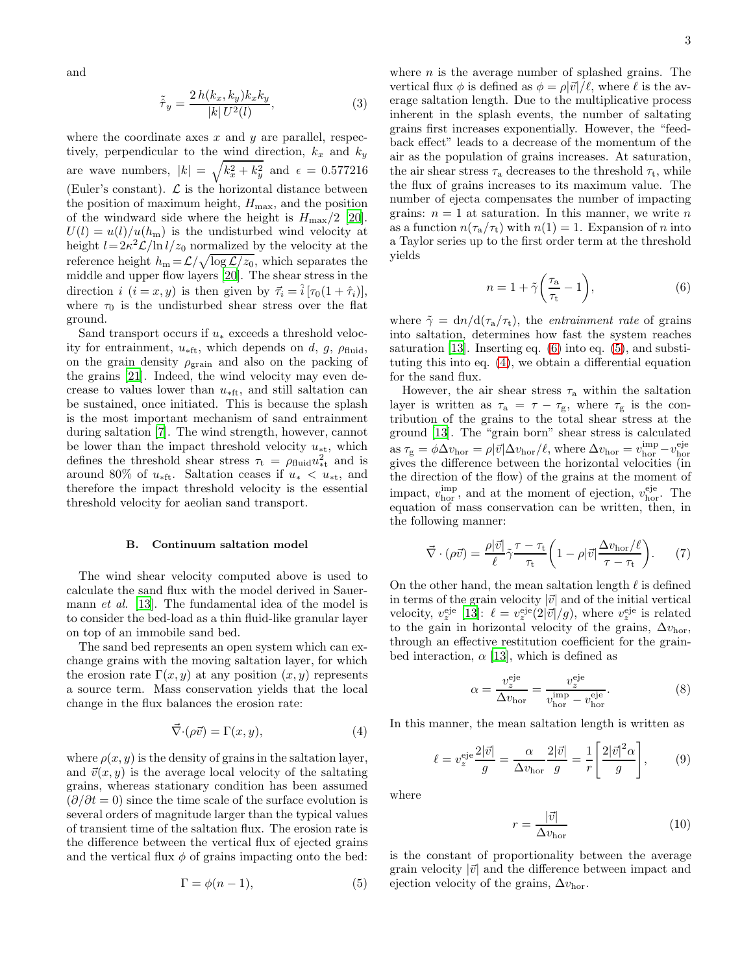and

<span id="page-2-5"></span>
$$
\tilde{\hat{\tau}}_y = \frac{2\,h(k_x, k_y)k_x k_y}{|k| \, U^2(l)},\tag{3}
$$

where the coordinate axes  $x$  and  $y$  are parallel, respectively, perpendicular to the wind direction,  $k_x$  and  $k_y$ are wave numbers,  $|k| = \sqrt{k_x^2 + k_y^2}$  and  $\epsilon = 0.577216$ (Euler's constant).  $\mathcal L$  is the horizontal distance between the position of maximum height,  $H_{\text{max}}$ , and the position of the windward side where the height is  $H_{\text{max}}/2$  [\[20\]](#page-15-10).  $U(l) = u(l)/u(h_m)$  is the undisturbed wind velocity at height  $l = 2\kappa^2 \mathcal{L} / \ln l / z_0$  normalized by the velocity at the reference height  $h_m = \mathcal{L}/\sqrt{\log \mathcal{L}/z_0}$ , which separates the middle and upper flow layers [\[20\]](#page-15-10). The shear stress in the direction  $i$   $(i = x, y)$  is then given by  $\vec{\tau}_i = \hat{i}[\tau_0(1 + \hat{\tau}_i)],$ where  $\tau_0$  is the undisturbed shear stress over the flat ground.

Sand transport occurs if  $u_*$  exceeds a threshold velocity for entrainment,  $u_{\text{*ft}}$ , which depends on d, g,  $\rho_{\text{fluid}}$ , on the grain density  $\rho_{\text{grain}}$  and also on the packing of the grains [\[21](#page-15-11)]. Indeed, the wind velocity may even decrease to values lower than  $u_{\text{*ft}}$ , and still saltation can be sustained, once initiated. This is because the splash is the most important mechanism of sand entrainment during saltation [\[7\]](#page-14-6). The wind strength, however, cannot be lower than the impact threshold velocity  $u_{\ast t}$ , which defines the threshold shear stress  $\tau_t = \rho_{\text{fluid}} u_{\text{at}}^2$  and is around 80% of  $u_{\text{*ft}}$ . Saltation ceases if  $u_* < u_{\text{*t}}$ , and therefore the impact threshold velocity is the essential threshold velocity for aeolian sand transport.

### B. Continuum saltation model

The wind shear velocity computed above is used to calculate the sand flux with the model derived in Sauermann et al. [\[13\]](#page-15-3). The fundamental idea of the model is to consider the bed-load as a thin fluid-like granular layer on top of an immobile sand bed.

The sand bed represents an open system which can exchange grains with the moving saltation layer, for which the erosion rate  $\Gamma(x, y)$  at any position  $(x, y)$  represents a source term. Mass conservation yields that the local change in the flux balances the erosion rate:

<span id="page-2-2"></span>
$$
\vec{\nabla}\cdot(\rho\vec{v}) = \Gamma(x, y),\tag{4}
$$

where  $\rho(x, y)$  is the density of grains in the saltation layer, and  $\vec{v}(x, y)$  is the average local velocity of the saltating grains, whereas stationary condition has been assumed  $(\partial/\partial t = 0)$  since the time scale of the surface evolution is several orders of magnitude larger than the typical values of transient time of the saltation flux. The erosion rate is the difference between the vertical flux of ejected grains and the vertical flux  $\phi$  of grains impacting onto the bed:

<span id="page-2-1"></span>
$$
\Gamma = \phi(n-1),\tag{5}
$$

where  $n$  is the average number of splashed grains. The vertical flux  $\phi$  is defined as  $\phi = \rho |\vec{v}|/\ell$ , where  $\ell$  is the average saltation length. Due to the multiplicative process inherent in the splash events, the number of saltating grains first increases exponentially. However, the "feedback effect" leads to a decrease of the momentum of the air as the population of grains increases. At saturation, the air shear stress  $\tau_a$  decreases to the threshold  $\tau_t$ , while the flux of grains increases to its maximum value. The number of ejecta compensates the number of impacting grains:  $n = 1$  at saturation. In this manner, we write n as a function  $n(\tau_a/\tau_t)$  with  $n(1) = 1$ . Expansion of n into a Taylor series up to the first order term at the threshold yields

<span id="page-2-0"></span>
$$
n = 1 + \tilde{\gamma} \left( \frac{\tau_{\rm a}}{\tau_{\rm t}} - 1 \right), \tag{6}
$$

where  $\tilde{\gamma} = d\eta/d(\tau_a/\tau_t)$ , the *entrainment rate* of grains into saltation, determines how fast the system reaches saturation [\[13\]](#page-15-3). Inserting eq. [\(6\)](#page-2-0) into eq. [\(5\)](#page-2-1), and substituting this into eq. [\(4\)](#page-2-2), we obtain a differential equation for the sand flux.

However, the air shear stress  $\tau_a$  within the saltation layer is written as  $\tau_a = \tau - \tau_g$ , where  $\tau_g$  is the contribution of the grains to the total shear stress at the ground [\[13\]](#page-15-3). The "grain born" shear stress is calculated as  $\tau_{\rm g} = \phi \Delta v_{\rm hor} = \rho |\vec{v}| \Delta v_{\rm hor}/\ell$ , where  $\Delta v_{\rm hor} = v_{\rm hor}^{\rm imp} - v_{\rm hor}^{\rm eje}$ gives the difference between the horizontal velocities (in the direction of the flow) of the grains at the moment of impact,  $v_{\text{hor}}^{\text{imp}}$ , and at the moment of ejection,  $v_{\text{hor}}^{\text{eje}}$ . The equation of mass conservation can be written, then, in the following manner:

<span id="page-2-4"></span>
$$
\vec{\nabla} \cdot (\rho \vec{v}) = \frac{\rho |\vec{v}|}{\ell} \tilde{\gamma} \frac{\tau - \tau_t}{\tau_t} \left( 1 - \rho |\vec{v}| \frac{\Delta v_{\text{hor}}/\ell}{\tau - \tau_t} \right). \tag{7}
$$

On the other hand, the mean saltation length  $\ell$  is defined in terms of the grain velocity  $|\vec{v}|$  and of the initial vertical velocity,  $v_z^{\text{eje}}$  [\[13](#page-15-3)]:  $\ell = v_z^{\text{eje}}(2|\vec{v}|/g)$ , where  $v_z^{\text{eje}}$  is related to the gain in horizontal velocity of the grains,  $\Delta v_{\text{hor}}$ , through an effective restitution coefficient for the grainbed interaction,  $\alpha$  [\[13\]](#page-15-3), which is defined as

<span id="page-2-6"></span>
$$
\alpha = \frac{v_z^{\text{eje}}}{\Delta v_{\text{hor}}} = \frac{v_z^{\text{eje}}}{v_{\text{hor}}^{\text{imp}} - v_{\text{hor}}^{\text{eje}}}.
$$
(8)

In this manner, the mean saltation length is written as

<span id="page-2-3"></span>
$$
\ell = v_z^{\text{eje}} \frac{2|\vec{v}|}{g} = \frac{\alpha}{\Delta v_{\text{hor}}} \frac{2|\vec{v}|}{g} = \frac{1}{r} \left[ \frac{2|\vec{v}|^2 \alpha}{g} \right],\tag{9}
$$

where

<span id="page-2-7"></span>
$$
r = \frac{|\vec{v}|}{\Delta v_{\text{hor}}} \tag{10}
$$

is the constant of proportionality between the average grain velocity  $|\vec{v}|$  and the difference between impact and ejection velocity of the grains,  $\Delta v_{\text{hor}}$ .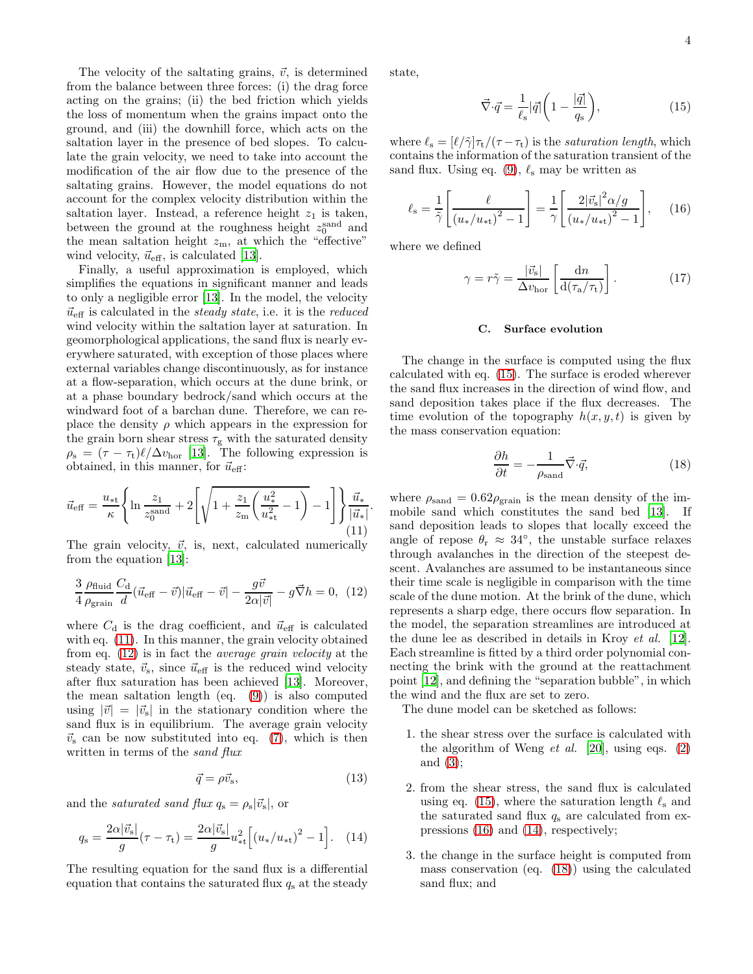The velocity of the saltating grains,  $\vec{v}$ , is determined from the balance between three forces: (i) the drag force acting on the grains; (ii) the bed friction which yields the loss of momentum when the grains impact onto the ground, and (iii) the downhill force, which acts on the saltation layer in the presence of bed slopes. To calculate the grain velocity, we need to take into account the modification of the air flow due to the presence of the saltating grains. However, the model equations do not account for the complex velocity distribution within the saltation layer. Instead, a reference height  $z_1$  is taken, between the ground at the roughness height  $z_0^{\text{sand}}$  and the mean saltation height  $z_m$ , at which the "effective" wind velocity,  $\vec{u}_{\text{eff}}$ , is calculated [\[13\]](#page-15-3).

Finally, a useful approximation is employed, which simplifies the equations in significant manner and leads to only a negligible error [\[13](#page-15-3)]. In the model, the velocity  $\vec{u}_{\text{eff}}$  is calculated in the steady state, i.e. it is the reduced wind velocity within the saltation layer at saturation. In geomorphological applications, the sand flux is nearly everywhere saturated, with exception of those places where external variables change discontinuously, as for instance at a flow-separation, which occurs at the dune brink, or at a phase boundary bedrock/sand which occurs at the windward foot of a barchan dune. Therefore, we can replace the density  $\rho$  which appears in the expression for the grain born shear stress  $\tau_{\rm g}$  with the saturated density  $\rho_{\rm s} = (\tau - \tau_{\rm t}) \ell / \Delta v_{\rm hor}$  [\[13\]](#page-15-3). The following expression is obtained, in this manner, for  $\vec{u}_{\text{eff}}$ :

<span id="page-3-0"></span>
$$
\vec{u}_{\text{eff}} = \frac{u_{*t}}{\kappa} \left\{ \ln \frac{z_1}{z_0^{\text{sand}}} + 2 \left[ \sqrt{1 + \frac{z_1}{z_m} \left( \frac{u_*^2}{u_{*t}^2} - 1 \right)} - 1 \right] \right\} \frac{\vec{u}_*}{|\vec{u}_*|}
$$
(11)

The grain velocity,  $\vec{v}$ , is, next, calculated numerically from the equation [\[13](#page-15-3)]:

<span id="page-3-1"></span>
$$
\frac{3}{4} \frac{\rho_{\text{fluid}}}{\rho_{\text{grain}}} \frac{C_{\text{d}}}{d} (\vec{u}_{\text{eff}} - \vec{v}) |\vec{u}_{\text{eff}} - \vec{v}| - \frac{g\vec{v}}{2\alpha |\vec{v}|} - g\vec{\nabla}h = 0, (12)
$$

where  $C_d$  is the drag coefficient, and  $\vec{u}_{\text{eff}}$  is calculated with eq.  $(11)$ . In this manner, the grain velocity obtained from eq. [\(12\)](#page-3-1) is in fact the average grain velocity at the steady state,  $\vec{v}_s$ , since  $\vec{u}_{\text{eff}}$  is the reduced wind velocity after flux saturation has been achieved [\[13\]](#page-15-3). Moreover, the mean saltation length (eq. [\(9\)](#page-2-3)) is also computed using  $|\vec{v}| = |\vec{v}_{s}|$  in the stationary condition where the sand flux is in equilibrium. The average grain velocity  $\vec{v}_s$  can be now substituted into eq. [\(7\)](#page-2-4), which is then written in terms of the *sand flux* 

$$
\vec{q} = \rho \vec{v}_{\rm s},\tag{13}
$$

and the *saturated sand flux*  $q_s = \rho_s |\vec{v}_s|$ , or

<span id="page-3-4"></span>
$$
q_{\rm s} = \frac{2\alpha |\vec{v}_{\rm s}|}{g} (\tau - \tau_{\rm t}) = \frac{2\alpha |\vec{v}_{\rm s}|}{g} u_{\rm *t}^2 \left[ (u_{\rm *}/u_{\rm *t})^2 - 1 \right]. \tag{14}
$$

The resulting equation for the sand flux is a differential equation that contains the saturated flux  $q_s$  at the steady state,

<span id="page-3-2"></span>
$$
\vec{\nabla} \cdot \vec{q} = \frac{1}{\ell_{\rm s}} |\vec{q}| \left( 1 - \frac{|\vec{q}|}{q_{\rm s}} \right),\tag{15}
$$

where  $\ell_s = [\ell/\tilde{\gamma}]\tau_t/(\tau - \tau_t)$  is the *saturation length*, which contains the information of the saturation transient of the sand flux. Using eq. [\(9\)](#page-2-3),  $\ell_s$  may be written as

<span id="page-3-3"></span>
$$
\ell_{\rm s} = \frac{1}{\tilde{\gamma}} \left[ \frac{\ell}{(u_*/u_{\rm st})^2 - 1} \right] = \frac{1}{\gamma} \left[ \frac{2|\vec{v}_{\rm s}|^2 \alpha/g}{(u_*/u_{\rm st})^2 - 1} \right], \quad (16)
$$

where we defined

.

<span id="page-3-6"></span>
$$
\gamma = r\tilde{\gamma} = \frac{|\vec{v}_{\rm s}|}{\Delta v_{\rm hor}} \left[ \frac{\mathrm{d}n}{\mathrm{d}(\tau_{\rm a}/\tau_{\rm t})} \right]. \tag{17}
$$

## C. Surface evolution

The change in the surface is computed using the flux calculated with eq. [\(15\)](#page-3-2). The surface is eroded wherever the sand flux increases in the direction of wind flow, and sand deposition takes place if the flux decreases. The time evolution of the topography  $h(x, y, t)$  is given by the mass conservation equation:

<span id="page-3-5"></span>
$$
\frac{\partial h}{\partial t} = -\frac{1}{\rho_{\text{sand}}}\vec{\nabla} \cdot \vec{q},\tag{18}
$$

where  $\rho_{\text{sand}} = 0.62 \rho_{\text{grain}}$  is the mean density of the immobile sand which constitutes the sand bed [\[13\]](#page-15-3). If sand deposition leads to slopes that locally exceed the angle of repose  $\theta_r \approx 34^\circ$ , the unstable surface relaxes through avalanches in the direction of the steepest descent. Avalanches are assumed to be instantaneous since their time scale is negligible in comparison with the time scale of the dune motion. At the brink of the dune, which represents a sharp edge, there occurs flow separation. In the model, the separation streamlines are introduced at the dune lee as described in details in Kroy et al. [\[12\]](#page-15-2). Each streamline is fitted by a third order polynomial connecting the brink with the ground at the reattachment point [\[12\]](#page-15-2), and defining the "separation bubble", in which the wind and the flux are set to zero.

The dune model can be sketched as follows:

- 1. the shear stress over the surface is calculated with the algorithm of Weng *et al.* [\[20](#page-15-10)], using eqs. [\(2\)](#page-1-1) and [\(3\)](#page-2-5);
- 2. from the shear stress, the sand flux is calculated using eq. [\(15\)](#page-3-2), where the saturation length  $\ell_s$  and the saturated sand flux  $q_s$  are calculated from expressions [\(16\)](#page-3-3) and [\(14\)](#page-3-4), respectively;
- 3. the change in the surface height is computed from mass conservation (eq. [\(18\)](#page-3-5)) using the calculated sand flux; and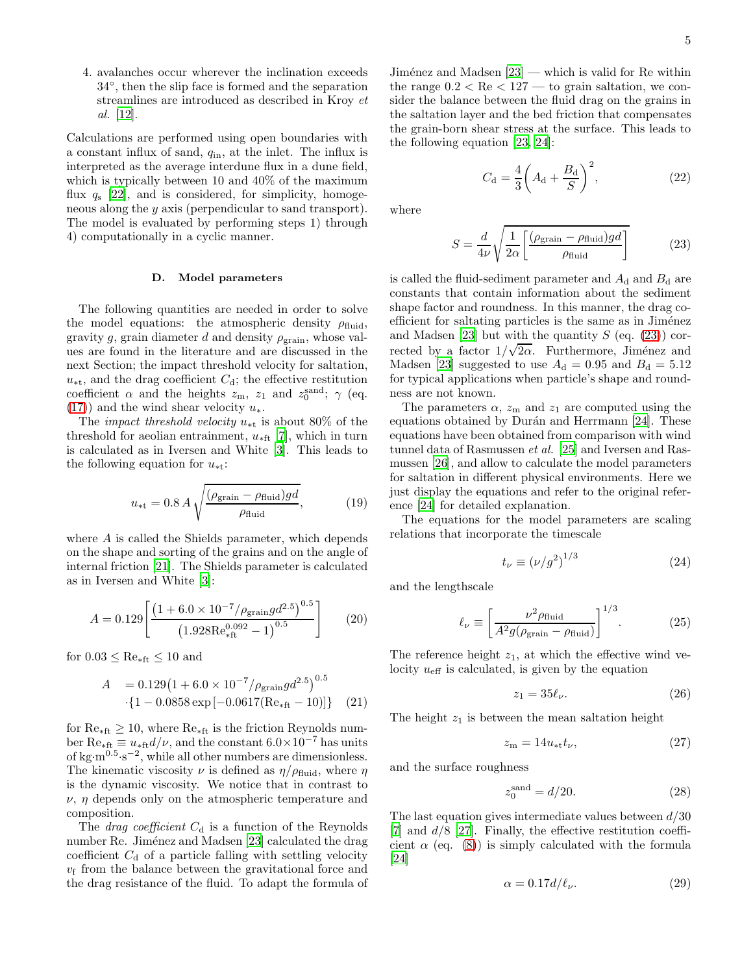4. avalanches occur wherever the inclination exceeds 34◦ , then the slip face is formed and the separation streamlines are introduced as described in Kroy et al. [\[12\]](#page-15-2).

Calculations are performed using open boundaries with a constant influx of sand,  $q_{\text{in}}$ , at the inlet. The influx is interpreted as the average interdune flux in a dune field, which is typically between 10 and 40% of the maximum flux  $q_s$  [\[22\]](#page-15-12), and is considered, for simplicity, homogeneous along the y axis (perpendicular to sand transport). The model is evaluated by performing steps 1) through 4) computationally in a cyclic manner.

## D. Model parameters

The following quantities are needed in order to solve the model equations: the atmospheric density  $\rho_{\text{fluid}}$ , gravity g, grain diameter d and density  $\rho_{\text{grain}}$ , whose values are found in the literature and are discussed in the next Section; the impact threshold velocity for saltation,  $u_{\ast t}$ , and the drag coefficient  $C_d$ ; the effective restitution coefficient  $\alpha$  and the heights  $z_{\rm m}$ ,  $z_1$  and  $z_0^{\rm sand}$ ;  $\gamma$  (eq. [\(17\)](#page-3-6)) and the wind shear velocity  $u_*$ .

The *impact threshold velocity*  $u_{*t}$  is about 80% of the threshold for a<br>eolian entrainment,  $u_{\ast \text{ft}}$  [\[7\]](#page-14-6), which in turn is calculated as in Iversen and White [\[3\]](#page-14-2). This leads to the following equation for  $u_{\ast t}$ :

<span id="page-4-1"></span>
$$
u_{\ast \mathrm{t}} = 0.8 \, A \sqrt{\frac{(\rho_{\mathrm{grain}} - \rho_{\mathrm{fluid}})gd}{\rho_{\mathrm{fluid}}}},\tag{19}
$$

where A is called the Shields parameter, which depends on the shape and sorting of the grains and on the angle of internal friction [\[21\]](#page-15-11). The Shields parameter is calculated as in Iversen and White [\[3](#page-14-2)]:

$$
A = 0.129 \left[ \frac{\left(1 + 6.0 \times 10^{-7} / \rho_{\text{grain}} g d^{2.5}\right)^{0.5}}{\left(1.928 \text{Re}_{\text{eff}}^{0.092} - 1\right)^{0.5}} \right]
$$
(20)

for  $0.03 \leq \text{Re}_{\ast \text{ft}} \leq 10$  and

$$
A = 0.129(1 + 6.0 \times 10^{-7} / \rho_{\text{grain}} g d^{2.5})^{0.5}
$$

$$
\cdot \{1 - 0.0858 \exp[-0.0617(\text{Re}_{*ft} - 10)]\} \quad (21)
$$

for  $Re_{*ft} \geq 10$ , where  $Re_{*ft}$  is the friction Reynolds number Re<sub>∗ft</sub>  $\equiv u_{\ast \text{ft}} d/\nu$ , and the constant  $6.0 \times 10^{-7}$  has units of kg·m<sup>0.5</sup>  $s^{-2}$ , while all other numbers are dimensionless. The kinematic viscosity  $\nu$  is defined as  $\eta/\rho_{\text{fluid}}$ , where  $\eta$ is the dynamic viscosity. We notice that in contrast to  $\nu$ ,  $\eta$  depends only on the atmospheric temperature and composition.

The *drag coefficient*  $C_d$  is a function of the Reynolds number Re. Jiménez and Madsen [\[23](#page-15-13)] calculated the drag coefficient  $C_d$  of a particle falling with settling velocity  $v<sub>f</sub>$  from the balance between the gravitational force and the drag resistance of the fluid. To adapt the formula of

Jiménez and Madsen  $[23]$  — which is valid for Re within the range  $0.2 < Re < 127$  — to grain saltation, we consider the balance between the fluid drag on the grains in the saltation layer and the bed friction that compensates the grain-born shear stress at the surface. This leads to the following equation [\[23,](#page-15-13) [24\]](#page-15-14):

<span id="page-4-2"></span>
$$
C_{\rm d} = \frac{4}{3} \left( A_{\rm d} + \frac{B_{\rm d}}{S} \right)^2, \tag{22}
$$

where

<span id="page-4-0"></span>
$$
S = \frac{d}{4\nu} \sqrt{\frac{1}{2\alpha} \left[ \frac{(\rho_{\text{grain}} - \rho_{\text{fluid}})gd}{\rho_{\text{fluid}}} \right]}
$$
(23)

is called the fluid-sediment parameter and  $A_d$  and  $B_d$  are constants that contain information about the sediment shape factor and roundness. In this manner, the drag coefficient for saltating particles is the same as in Jiménez and Madsen [\[23\]](#page-15-13) but with the quantity  $S$  (eq. [\(23\)](#page-4-0)) corrected by a factor  $1/\sqrt{2\alpha}$ . Furthermore, Jiménez and Madsen [\[23\]](#page-15-13) suggested to use  $A_d = 0.95$  and  $B_d = 5.12$ for typical applications when particle's shape and roundness are not known.

The parameters  $\alpha$ ,  $z_m$  and  $z_1$  are computed using the equations obtained by Durán and Herrmann [\[24\]](#page-15-14). These equations have been obtained from comparison with wind tunnel data of Rasmussen et al. [\[25](#page-15-15)] and Iversen and Rasmussen [\[26\]](#page-15-16), and allow to calculate the model parameters for saltation in different physical environments. Here we just display the equations and refer to the original reference [\[24\]](#page-15-14) for detailed explanation.

The equations for the model parameters are scaling relations that incorporate the timescale

$$
t_{\nu} \equiv \left(\nu/g^2\right)^{1/3} \tag{24}
$$

and the lengthscale

$$
\ell_{\nu} \equiv \left[ \frac{\nu^2 \rho_{\text{fluid}}}{A^2 g(\rho_{\text{grain}} - \rho_{\text{fluid}})} \right]^{1/3}.
$$
 (25)

The reference height  $z_1$ , at which the effective wind velocity  $u_{\text{eff}}$  is calculated, is given by the equation

<span id="page-4-3"></span>
$$
z_1 = 35\ell_\nu. \tag{26}
$$

The height  $z_1$  is between the mean saltation height

<span id="page-4-5"></span>
$$
z_{\rm m} = 14u_{\ast \rm t}t_{\nu},\tag{27}
$$

and the surface roughness

<span id="page-4-6"></span>
$$
z_0^{\text{sand}} = d/20. \tag{28}
$$

The last equation gives intermediate values between  $d/30$  $[7]$  and  $d/8$   $[27]$ . Finally, the effective restitution coefficient  $\alpha$  (eq. [\(8\)](#page-2-6)) is simply calculated with the formula [\[24\]](#page-15-14)

<span id="page-4-4"></span>
$$
\alpha = 0.17d/\ell_{\nu}.\tag{29}
$$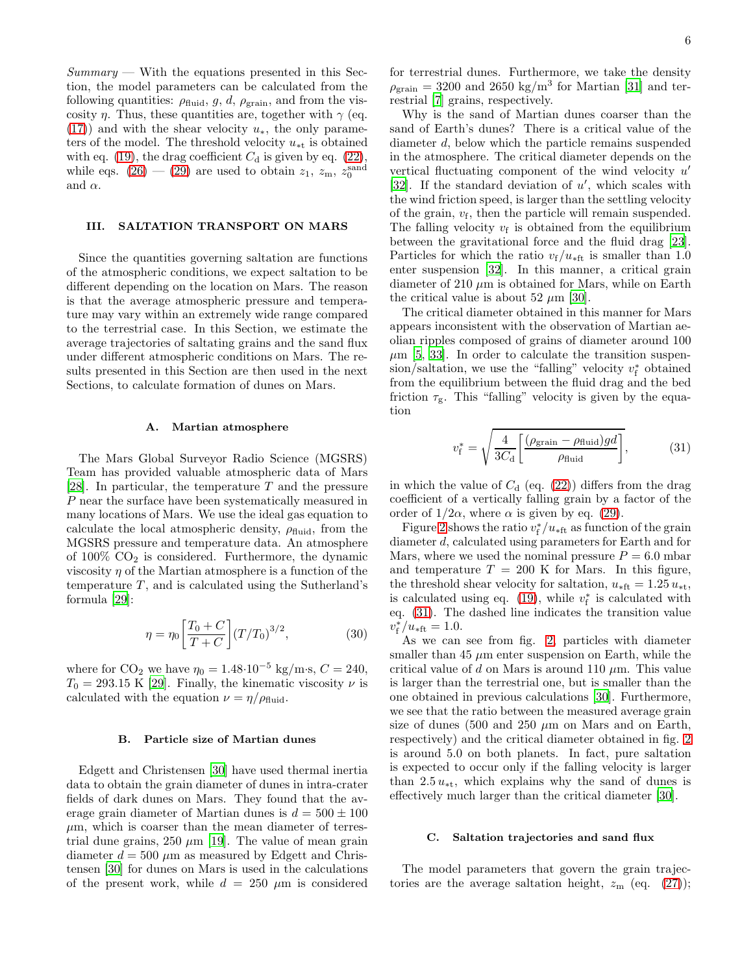$Summary$  — With the equations presented in this Section, the model parameters can be calculated from the following quantities:  $\rho_{\text{fluid}}$ , g, d,  $\rho_{\text{grain}}$ , and from the viscosity  $\eta$ . Thus, these quantities are, together with  $\gamma$  (eq.  $(17)$ ) and with the shear velocity  $u_*$ , the only parameters of the model. The threshold velocity  $u_{\ast t}$  is obtained with eq. [\(19\)](#page-4-1), the drag coefficient  $C_d$  is given by eq. [\(22\)](#page-4-2), while eqs.  $(26) - (29)$  $(26) - (29)$  are used to obtain  $z_1$ ,  $z_m$ ,  $z_0^{\text{sand}}$ and  $\alpha$ .

## <span id="page-5-0"></span>III. SALTATION TRANSPORT ON MARS

Since the quantities governing saltation are functions of the atmospheric conditions, we expect saltation to be different depending on the location on Mars. The reason is that the average atmospheric pressure and temperature may vary within an extremely wide range compared to the terrestrial case. In this Section, we estimate the average trajectories of saltating grains and the sand flux under different atmospheric conditions on Mars. The results presented in this Section are then used in the next Sections, to calculate formation of dunes on Mars.

### A. Martian atmosphere

The Mars Global Surveyor Radio Science (MGSRS) Team has provided valuable atmospheric data of Mars [\[28\]](#page-15-18). In particular, the temperature  $T$  and the pressure P near the surface have been systematically measured in many locations of Mars. We use the ideal gas equation to calculate the local atmospheric density,  $\rho_{\text{fluid}}$ , from the MGSRS pressure and temperature data. An atmosphere of  $100\%$  CO<sub>2</sub> is considered. Furthermore, the dynamic viscosity  $\eta$  of the Martian atmosphere is a function of the temperature  $T$ , and is calculated using the Sutherland's formula [\[29](#page-15-19)]:

<span id="page-5-2"></span>
$$
\eta = \eta_0 \left[ \frac{T_0 + C}{T + C} \right] (T/T_0)^{3/2},\tag{30}
$$

where for  $CO_2$  we have  $\eta_0 = 1.48 \cdot 10^{-5}$  kg/m·s,  $C = 240$ ,  $T_0 = 293.15 \text{ K } [29]$  $T_0 = 293.15 \text{ K } [29]$  $T_0 = 293.15 \text{ K } [29]$ . Finally, the kinematic viscosity  $\nu$  is calculated with the equation  $\nu = \eta/\rho_{\text{fluid}}$ .

#### B. Particle size of Martian dunes

Edgett and Christensen [\[30\]](#page-15-20) have used thermal inertia data to obtain the grain diameter of dunes in intra-crater fields of dark dunes on Mars. They found that the average grain diameter of Martian dunes is  $d = 500 \pm 100$  $\mu$ m, which is coarser than the mean diameter of terrestrial dune grains, 250  $\mu$ m [\[19\]](#page-15-9). The value of mean grain diameter  $d = 500 \ \mu \text{m}$  as measured by Edgett and Christensen [\[30\]](#page-15-20) for dunes on Mars is used in the calculations of the present work, while  $d = 250 \mu m$  is considered

for terrestrial dunes. Furthermore, we take the density  $\rho_{\text{grain}} = 3200$  and  $2650 \text{ kg/m}^3$  for Martian [\[31\]](#page-15-21) and terrestrial [\[7\]](#page-14-6) grains, respectively.

Why is the sand of Martian dunes coarser than the sand of Earth's dunes? There is a critical value of the diameter d, below which the particle remains suspended in the atmosphere. The critical diameter depends on the vertical fluctuating component of the wind velocity  $u'$ [\[32\]](#page-15-22). If the standard deviation of  $u'$ , which scales with the wind friction speed, is larger than the settling velocity of the grain,  $v_f$ , then the particle will remain suspended. The falling velocity  $v_f$  is obtained from the equilibrium between the gravitational force and the fluid drag [\[23\]](#page-15-13). Particles for which the ratio  $v_f/u_{\rm *ft}$  is smaller than 1.0 enter suspension [\[32](#page-15-22)]. In this manner, a critical grain diameter of 210  $\mu$ m is obtained for Mars, while on Earth the critical value is about 52  $\mu$ m [\[30](#page-15-20)].

The critical diameter obtained in this manner for Mars appears inconsistent with the observation of Martian aeolian ripples composed of grains of diameter around 100  $\mu$ m [\[5,](#page-14-4) [33\]](#page-15-23). In order to calculate the transition suspen- $\sin/$ saltation, we use the "falling" velocity  $v_f^*$ f obtained from the equilibrium between the fluid drag and the bed friction  $\tau_{\rm g}$ . This "falling" velocity is given by the equation

<span id="page-5-1"></span>
$$
v_{\rm f}^* = \sqrt{\frac{4}{3C_{\rm d}} \left[ \frac{(\rho_{\rm grain} - \rho_{\rm fluid})gd}{\rho_{\rm fluid}} \right]},\tag{31}
$$

in which the value of  $C_d$  (eq. [\(22\)](#page-4-2)) differs from the drag coefficient of a vertically falling grain by a factor of the order of  $1/2\alpha$ , where  $\alpha$  is given by eq. [\(29\)](#page-4-4).

Figure [2](#page-6-0) shows the ratio  $v_f^*/u_{\rm *ft}$  as function of the grain diameter d, calculated using parameters for Earth and for Mars, where we used the nominal pressure  $P = 6.0$  mbar and temperature  $T = 200$  K for Mars. In this figure, the threshold shear velocity for saltation,  $u_{\text{*ft}} = 1.25 u_{\text{*t}}$ , is calculated using eq. [\(19\)](#page-4-1), while  $v_{\rm f}^*$ f is calculated with eq. [\(31\)](#page-5-1). The dashed line indicates the transition value  $v_{\rm f}^*$  $f_{\rm f}^*/u_{\rm *ft} = 1.0.$ 

As we can see from fig. [2,](#page-6-0) particles with diameter smaller than 45  $\mu$ m enter suspension on Earth, while the critical value of d on Mars is around 110  $\mu$ m. This value is larger than the terrestrial one, but is smaller than the one obtained in previous calculations [\[30\]](#page-15-20). Furthermore, we see that the ratio between the measured average grain size of dunes (500 and 250  $\mu$ m on Mars and on Earth, respectively) and the critical diameter obtained in fig. [2](#page-6-0) is around 5.0 on both planets. In fact, pure saltation is expected to occur only if the falling velocity is larger than 2.5  $u_{\ast t}$ , which explains why the sand of dunes is effectively much larger than the critical diameter [\[30](#page-15-20)].

## C. Saltation trajectories and sand flux

The model parameters that govern the grain trajectories are the average saltation height,  $z_{\rm m}$  (eq. [\(27\)](#page-4-5));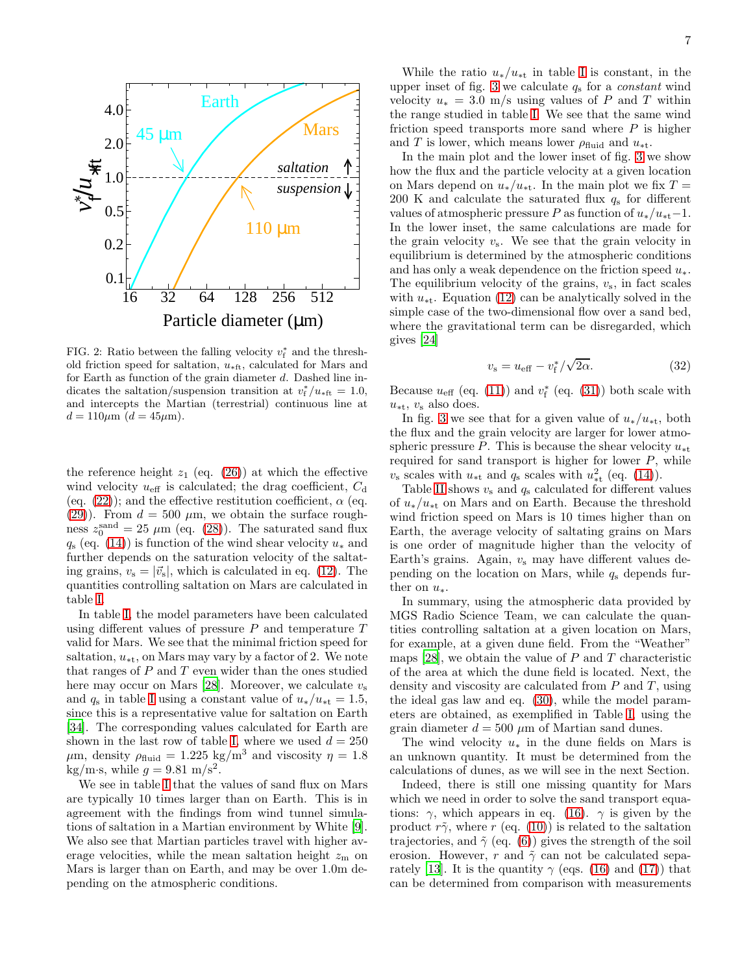

<span id="page-6-0"></span>FIG. 2: Ratio between the falling velocity  $v_f^*$  and the threshold friction speed for saltation,  $u_{\ast \text{ft}}$ , calculated for Mars and for Earth as function of the grain diameter d. Dashed line indicates the saltation/suspension transition at  $v_f^*/u_{\rm *ft} = 1.0$ , and intercepts the Martian (terrestrial) continuous line at  $d = 110 \mu m$  ( $d = 45 \mu m$ ).

the reference height  $z_1$  (eq. [\(26\)](#page-4-3)) at which the effective wind velocity  $u_{\text{eff}}$  is calculated; the drag coefficient,  $C_{\text{d}}$ (eq. [\(22\)](#page-4-2)); and the effective restitution coefficient,  $\alpha$  (eq. [\(29\)](#page-4-4)). From  $d = 500 \mu m$ , we obtain the surface roughness  $z_0^{\text{sand}} = 25 \mu \text{m}$  (eq. [\(28\)](#page-4-6)). The saturated sand flux  $q_s$  (eq. [\(14\)](#page-3-4)) is function of the wind shear velocity  $u_*$  and further depends on the saturation velocity of the saltating grains,  $v_s = |\vec{v}_s|$ , which is calculated in eq. [\(12\)](#page-3-1). The quantities controlling saltation on Mars are calculated in table [I.](#page-7-0)

In table [I,](#page-7-0) the model parameters have been calculated using different values of pressure  $P$  and temperature  $T$ valid for Mars. We see that the minimal friction speed for saltation,  $u_{\ast t}$ , on Mars may vary by a factor of 2. We note that ranges of  $P$  and  $T$  even wider than the ones studied here may occur on Mars [\[28\]](#page-15-18). Moreover, we calculate  $v_s$ and  $q_s$  in table [I](#page-7-0) using a constant value of  $u_*/u_{**} = 1.5$ , since this is a representative value for saltation on Earth [\[34\]](#page-15-24). The corresponding values calculated for Earth are shown in the last row of table [I,](#page-7-0) where we used  $d = 250$  $\mu$ m, density  $\rho_{\text{fluid}} = 1.225 \text{ kg/m}^3$  and viscosity  $\eta = 1.8$ kg/m·s, while  $g = 9.81$  m/s<sup>2</sup>.

We see in table [I](#page-7-0) that the values of sand flux on Mars are typically 10 times larger than on Earth. This is in agreement with the findings from wind tunnel simulations of saltation in a Martian environment by White [\[9\]](#page-14-8). We also see that Martian particles travel with higher average velocities, while the mean saltation height  $z<sub>m</sub>$  on Mars is larger than on Earth, and may be over 1.0m depending on the atmospheric conditions.

While the ratio  $u_*/u_{**}$  in table [I](#page-7-0) is constant, in the upper inset of fig. [3](#page-7-1) we calculate  $q_s$  for a *constant* wind velocity  $u_* = 3.0$  m/s using values of P and T within the range studied in table [I.](#page-7-0) We see that the same wind friction speed transports more sand where  $P$  is higher and T is lower, which means lower  $\rho_{\text{fluid}}$  and  $u_{*t}$ .

In the main plot and the lower inset of fig. [3](#page-7-1) we show how the flux and the particle velocity at a given location on Mars depend on  $u_*/u_{**}$ . In the main plot we fix  $T =$ 200 K and calculate the saturated flux  $q_s$  for different values of atmospheric pressure P as function of  $u_*/u_{**}$ –1. In the lower inset, the same calculations are made for the grain velocity  $v_s$ . We see that the grain velocity in equilibrium is determined by the atmospheric conditions and has only a weak dependence on the friction speed  $u_*$ . The equilibrium velocity of the grains,  $v<sub>s</sub>$ , in fact scales with  $u_{\ast t}$ . Equation [\(12\)](#page-3-1) can be analytically solved in the simple case of the two-dimensional flow over a sand bed, where the gravitational term can be disregarded, which gives [\[24](#page-15-14)]

<span id="page-6-1"></span>
$$
v_{\rm s} = u_{\rm eff} - v_{\rm f}^* / \sqrt{2\alpha}.
$$
 (32)

Because  $u_{\text{eff}}$  (eq. [\(11\)](#page-3-0)) and  $v_{\text{f}}^*$  $f_f^*$  (eq. [\(31\)](#page-5-1)) both scale with  $u_{\ast t}$ ,  $v_{\rm s}$  also does.

In fig. [3](#page-7-1) we see that for a given value of  $u_*/u_{**}$ , both the flux and the grain velocity are larger for lower atmospheric pressure P. This is because the shear velocity  $u_{\ast t}$ required for sand transport is higher for lower  $P$ , while  $v<sub>s</sub>$  scales with  $u<sub>**</sub>$  and  $q<sub>s</sub>$  scales with  $u<sub>**</sub><sup>2</sup>$  (eq. [\(14\)](#page-3-4)).

Table [II](#page-8-1) shows  $v_s$  and  $q_s$  calculated for different values of  $u_*/u_{**}$  on Mars and on Earth. Because the threshold wind friction speed on Mars is 10 times higher than on Earth, the average velocity of saltating grains on Mars is one order of magnitude higher than the velocity of Earth's grains. Again,  $v_s$  may have different values depending on the location on Mars, while  $q_s$  depends further on  $u_*$ .

In summary, using the atmospheric data provided by MGS Radio Science Team, we can calculate the quantities controlling saltation at a given location on Mars, for example, at a given dune field. From the "Weather" maps [\[28\]](#page-15-18), we obtain the value of  $P$  and  $T$  characteristic of the area at which the dune field is located. Next, the density and viscosity are calculated from  $P$  and  $T$ , using the ideal gas law and eq. [\(30\)](#page-5-2), while the model parameters are obtained, as exemplified in Table [I,](#page-7-0) using the grain diameter  $d = 500 \ \mu \text{m}$  of Martian sand dunes.

The wind velocity  $u_*$  in the dune fields on Mars is an unknown quantity. It must be determined from the calculations of dunes, as we will see in the next Section.

Indeed, there is still one missing quantity for Mars which we need in order to solve the sand transport equations:  $\gamma$ , which appears in eq. [\(16\)](#page-3-3).  $\gamma$  is given by the product  $r\tilde{\gamma}$ , where r (eq. [\(10\)](#page-2-7)) is related to the saltation trajectories, and  $\tilde{\gamma}$  (eq. [\(6\)](#page-2-0)) gives the strength of the soil erosion. However, r and  $\tilde{\gamma}$  can not be calculated sepa-rately [\[13](#page-15-3)]. It is the quantity  $\gamma$  (eqs. [\(16\)](#page-3-3) and [\(17\)](#page-3-6)) that can be determined from comparison with measurements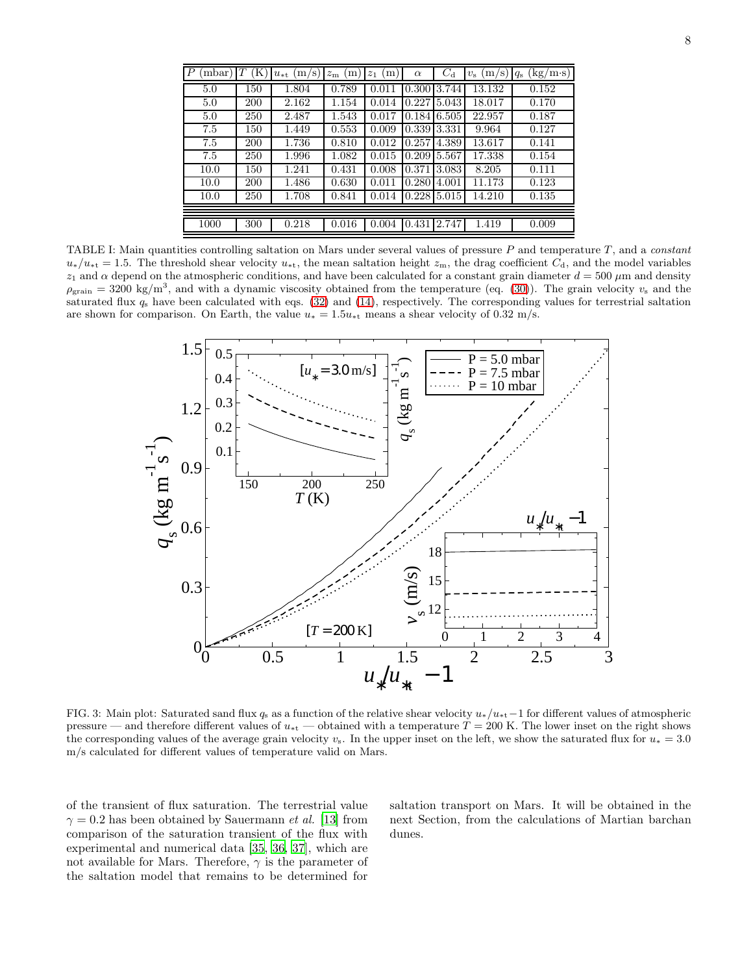| $\cdot$ P<br>mbar) | T<br>(K) | (m/s)<br>$u_{*t}$ | m<br>$z_{\rm m}$ | (m)<br>$z_1$ | $\alpha$      | $C_{\rm d}$ | (m/s)<br>$v_{\rm s}$ | $\rm (kg/m\cdot s)$<br>$q_{\rm s}$ |
|--------------------|----------|-------------------|------------------|--------------|---------------|-------------|----------------------|------------------------------------|
| 5.0                | 150      | 1.804             | 0.789            | 0.011        | 0.300         | 3.744       | 13.132               | 0.152                              |
| 5.0                | 200      | 2.162             | 1.154            | 0.014        | 0.22715.043   |             | 18.017               | 0.170                              |
| 5.0                | 250      | 2.487             | 1.543            | 0.017        | $0.184$ 6.505 |             | 22.957               | 0.187                              |
| 7.5                | 150      | 1.449             | 0.553            | 0.009        | 0.339         | 3.331       | 9.964                | 0.127                              |
| 7.5                | 200      | 1.736             | 0.810            | 0.012        | 0.257         | 4.389       | 13.617               | 0.141                              |
| 7.5                | 250      | 1.996             | 1.082            | 0.015        | 0.209         | 5.567       | 17.338               | 0.154                              |
| 10.0               | 150      | 1.241             | 0.431            | 0.008        | 0.371         | 3.083       | 8.205                | 0.111                              |
| 10.0               | 200      | 1.486             | 0.630            | 0.011        | 0.280         | 4.001       | 11.173               | 0.123                              |
| 10.0               | 250      | 1.708             | 0.841            | 0.014        | 0.228         | 5.015       | 14.210               | 0.135                              |
|                    |          |                   |                  |              |               |             |                      |                                    |
| 1000               | 300      | 0.218             | 0.016            | 0.004        | 0.431         | 2.747       | 1.419                | 0.009                              |
|                    |          |                   |                  |              |               |             |                      |                                    |

<span id="page-7-0"></span>TABLE I: Main quantities controlling saltation on Mars under several values of pressure  $P$  and temperature  $T$ , and a *constant*  $u_*/u_{**} = 1.5$ . The threshold shear velocity  $u_{**}$ , the mean saltation height  $z_m$ , the drag coefficient  $C_d$ , and the model variables  $z_1$  and  $\alpha$  depend on the atmospheric conditions, and have been calculated for a constant grain diameter  $d = 500 \mu m$  and density  $\rho_{\text{grain}} = 3200 \text{ kg/m}^3$ , and with a dynamic viscosity obtained from the temperature (eq. [\(30\)](#page-5-2)). The grain velocity  $v_s$  and the saturated flux  $q_s$  have been calculated with eqs. [\(32\)](#page-6-1) and [\(14\)](#page-3-4), respectively. The corresponding values for terrestrial saltation are shown for comparison. On Earth, the value  $u_* = 1.5u_{*t}$  means a shear velocity of 0.32 m/s.



<span id="page-7-1"></span>FIG. 3: Main plot: Saturated sand flux  $q_s$  as a function of the relative shear velocity  $u_*/u_{*t}-1$  for different values of atmospheric pressure — and therefore different values of  $u_{\rm *t}$  — obtained with a temperature  $T = 200$  K. The lower inset on the right shows the corresponding values of the average grain velocity  $v_s$ . In the upper inset on the left, we show the saturated flux for  $u_* = 3.0$ m/s calculated for different values of temperature valid on Mars.

of the transient of flux saturation. The terrestrial value  $\gamma = 0.2$  has been obtained by Sauermann *et al.* [\[13](#page-15-3)] from comparison of the saturation transient of the flux with experimental and numerical data [\[35](#page-15-25), [36,](#page-15-26) [37\]](#page-15-27), which are not available for Mars. Therefore,  $\gamma$  is the parameter of the saltation model that remains to be determined for

saltation transport on Mars. It will be obtained in the next Section, from the calculations of Martian barchan dunes.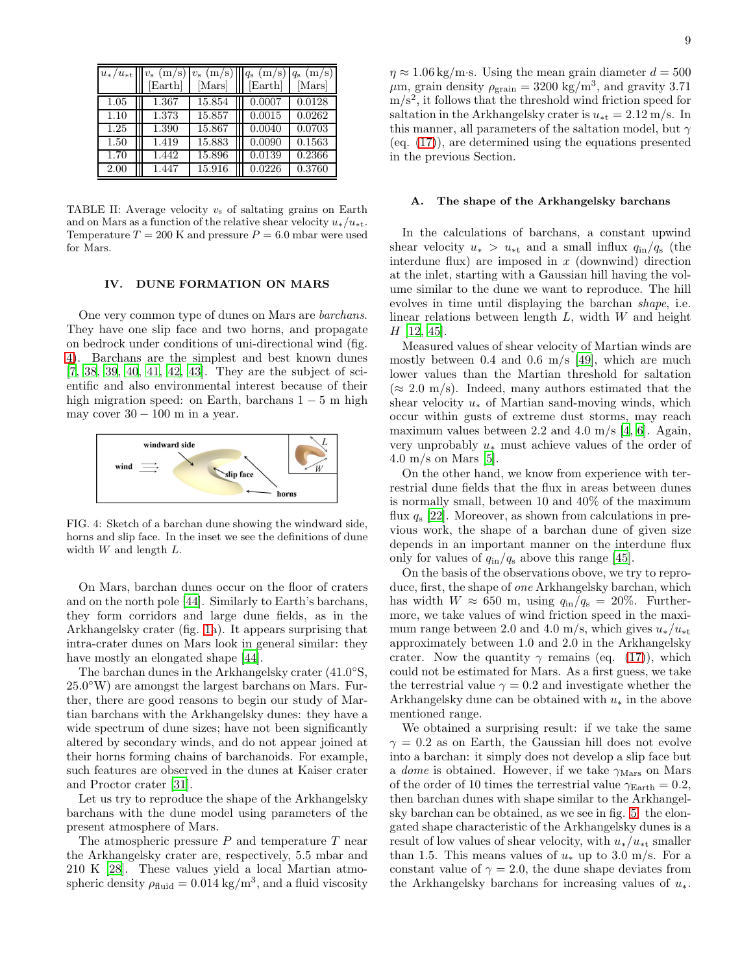|      | $u_*/u_{**}$   $v_{\rm s}$ (m/s)<br>[Earth] | (m/s)<br>$v_{\rm s}$<br>[Mars] | $ q_{\rm s} ({\rm m/s}) q_{\rm s} ({\rm m/s}) $<br>[Earth]<br>[Mars] |
|------|---------------------------------------------|--------------------------------|----------------------------------------------------------------------|
| 1.05 | 1.367                                       | 15.854                         | 0.0128<br>0.0007                                                     |
| 1.10 | 1.373                                       | 15.857                         | 0.0262<br>0.0015                                                     |
| 1.25 | 1.390                                       | 15.867                         | 0.0703<br>0.0040                                                     |
| 1.50 | 1.419                                       | 15.883                         | 0.1563<br>0.0090                                                     |
| 1.70 | 1.442                                       | 15.896                         | 0.2366<br>0.0139                                                     |
| 2.00 | 1.447                                       | 15.916                         | 0.3760<br>0.0226                                                     |

<span id="page-8-1"></span>TABLE II: Average velocity  $v_s$  of saltating grains on Earth and on Mars as a function of the relative shear velocity  $u_*/u_{**}$ . Temperature  $T = 200$  K and pressure  $P = 6.0$  mbar were used for Mars.

## <span id="page-8-0"></span>IV. DUNE FORMATION ON MARS

One very common type of dunes on Mars are barchans. They have one slip face and two horns, and propagate on bedrock under conditions of uni-directional wind (fig. [4\)](#page-8-2). Barchans are the simplest and best known dunes [\[7,](#page-14-6) [38,](#page-15-28) [39,](#page-15-29) [40,](#page-15-30) [41,](#page-15-31) [42,](#page-15-32) [43\]](#page-15-33). They are the subject of scientific and also environmental interest because of their high migration speed: on Earth, barchans  $1-5$  m high may cover  $30 - 100$  m in a year.



<span id="page-8-2"></span>FIG. 4: Sketch of a barchan dune showing the windward side, horns and slip face. In the inset we see the definitions of dune width  $W$  and length  $L$ .

On Mars, barchan dunes occur on the floor of craters and on the north pole [\[44](#page-15-34)]. Similarly to Earth's barchans, they form corridors and large dune fields, as in the Arkhangelsky crater (fig. [1a](#page-1-0)). It appears surprising that intra-crater dunes on Mars look in general similar: they have mostly an elongated shape [\[44\]](#page-15-34).

The barchan dunes in the Arkhangelsky crater (41.0°S, 25.0 ◦W) are amongst the largest barchans on Mars. Further, there are good reasons to begin our study of Martian barchans with the Arkhangelsky dunes: they have a wide spectrum of dune sizes; have not been significantly altered by secondary winds, and do not appear joined at their horns forming chains of barchanoids. For example, such features are observed in the dunes at Kaiser crater and Proctor crater [\[31](#page-15-21)].

Let us try to reproduce the shape of the Arkhangelsky barchans with the dune model using parameters of the present atmosphere of Mars.

The atmospheric pressure  $P$  and temperature  $T$  near the Arkhangelsky crater are, respectively, 5.5 mbar and 210 K [\[28\]](#page-15-18). These values yield a local Martian atmospheric density  $\rho_{\text{fluid}} = 0.014 \text{ kg/m}^3$ , and a fluid viscosity

 $\eta \approx 1.06 \text{ kg/m} \cdot \text{s}$ . Using the mean grain diameter  $d = 500$  $\mu$ m, grain density  $\rho_{\text{grain}} = 3200 \text{ kg/m}^3$ , and gravity 3.71 m/s 2 , it follows that the threshold wind friction speed for saltation in the Arkhangelsky crater is  $u_{\ast t} = 2.12 \text{ m/s}$ . In this manner, all parameters of the saltation model, but  $\gamma$ (eq. [\(17\)](#page-3-6)), are determined using the equations presented in the previous Section.

## A. The shape of the Arkhangelsky barchans

In the calculations of barchans, a constant upwind shear velocity  $u_* > u_{**}$  and a small influx  $q_{in}/q_s$  (the interdune flux) are imposed in  $x$  (downwind) direction at the inlet, starting with a Gaussian hill having the volume similar to the dune we want to reproduce. The hill evolves in time until displaying the barchan shape, i.e. linear relations between length  $L$ , width  $W$  and height  $H$  [\[12](#page-15-2), [45](#page-15-35)].

Measured values of shear velocity of Martian winds are mostly between 0.4 and 0.6 m/s [\[49\]](#page-15-36), which are much lower values than the Martian threshold for saltation  $(\approx 2.0 \text{ m/s})$ . Indeed, many authors estimated that the shear velocity  $u_*$  of Martian sand-moving winds, which occur within gusts of extreme dust storms, may reach maximum values between 2.2 and 4.0 m/s [\[4](#page-14-3), [6](#page-14-5)]. Again, very unprobably u<sup>∗</sup> must achieve values of the order of  $4.0 \text{ m/s}$  on Mars [\[5\]](#page-14-4).

On the other hand, we know from experience with terrestrial dune fields that the flux in areas between dunes is normally small, between 10 and 40% of the maximum flux  $q_s$  [\[22\]](#page-15-12). Moreover, as shown from calculations in previous work, the shape of a barchan dune of given size depends in an important manner on the interdune flux only for values of  $q_{\rm in}/q_{\rm s}$  above this range [\[45\]](#page-15-35).

On the basis of the observations obove, we try to reproduce, first, the shape of one Arkhangelsky barchan, which has width  $W \approx 650$  m, using  $q_{\rm in}/q_{\rm s} = 20\%$ . Furthermore, we take values of wind friction speed in the maximum range between 2.0 and 4.0 m/s, which gives  $u_*/u_{**}$ approximately between 1.0 and 2.0 in the Arkhangelsky crater. Now the quantity  $\gamma$  remains (eq. [\(17\)](#page-3-6)), which could not be estimated for Mars. As a first guess, we take the terrestrial value  $\gamma = 0.2$  and investigate whether the Arkhangelsky dune can be obtained with  $u_*$  in the above mentioned range.

We obtained a surprising result: if we take the same  $\gamma = 0.2$  as on Earth, the Gaussian hill does not evolve into a barchan: it simply does not develop a slip face but a dome is obtained. However, if we take  $\gamma_{\text{Mars}}$  on Mars of the order of 10 times the terrestrial value  $\gamma_{\rm Earth} = 0.2$ , then barchan dunes with shape similar to the Arkhangelsky barchan can be obtained, as we see in fig. [5:](#page-9-0) the elongated shape characteristic of the Arkhangelsky dunes is a result of low values of shear velocity, with  $u_*/u_{**}$  smaller than 1.5. This means values of  $u_*$  up to 3.0 m/s. For a constant value of  $\gamma = 2.0$ , the dune shape deviates from the Arkhangelsky barchans for increasing values of  $u_*$ .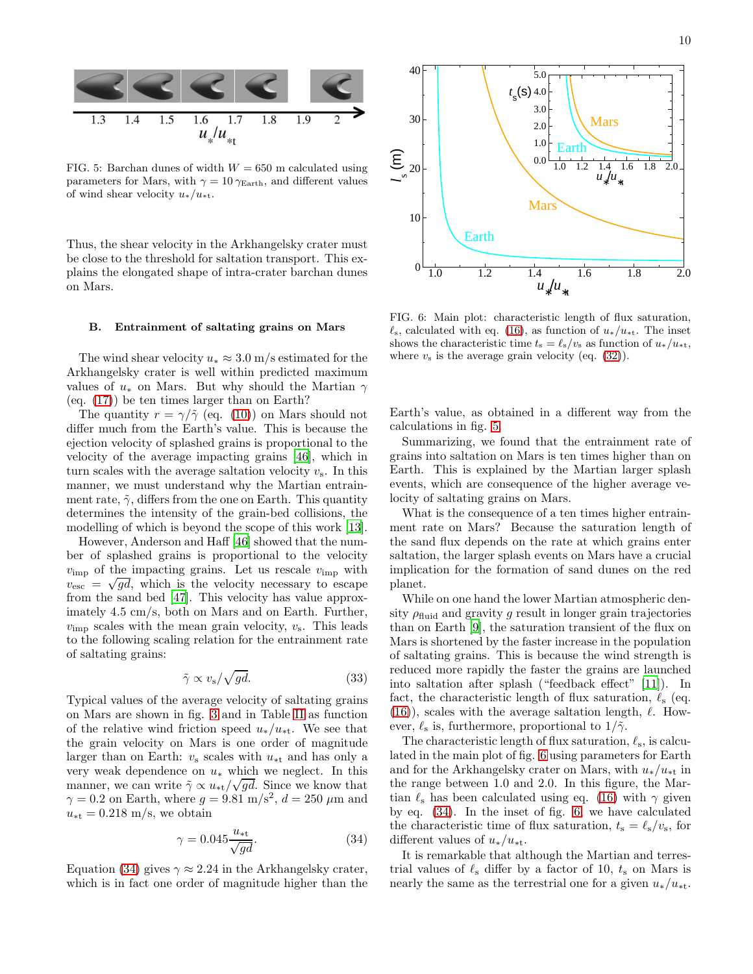

<span id="page-9-0"></span>FIG. 5: Barchan dunes of width  $W = 650$  m calculated using parameters for Mars, with  $\gamma = 10 \gamma_{\text{Earth}}$ , and different values of wind shear velocity  $u_*/u_{**}$ .

Thus, the shear velocity in the Arkhangelsky crater must be close to the threshold for saltation transport. This explains the elongated shape of intra-crater barchan dunes on Mars.

### B. Entrainment of saltating grains on Mars

The wind shear velocity  $u_* \approx 3.0$  m/s estimated for the Arkhangelsky crater is well within predicted maximum values of  $u_*$  on Mars. But why should the Martian  $\gamma$ (eq. [\(17\)](#page-3-6)) be ten times larger than on Earth?

The quantity  $r = \gamma/\tilde{\gamma}$  (eq. [\(10\)](#page-2-7)) on Mars should not differ much from the Earth's value. This is because the ejection velocity of splashed grains is proportional to the velocity of the average impacting grains [\[46\]](#page-15-37), which in turn scales with the average saltation velocity  $v_s$ . In this manner, we must understand why the Martian entrainment rate,  $\tilde{\gamma}$ , differs from the one on Earth. This quantity determines the intensity of the grain-bed collisions, the modelling of which is beyond the scope of this work [\[13\]](#page-15-3).

However, Anderson and Haff [\[46\]](#page-15-37) showed that the number of splashed grains is proportional to the velocity  $v_{\rm imp}$  of the impacting grains. Let us rescale  $v_{\rm imp}$  with  $v_{\text{esc}} = \sqrt{gd}$ , which is the velocity necessary to escape from the sand bed [\[47\]](#page-15-38). This velocity has value approximately 4.5 cm/s, both on Mars and on Earth. Further,  $v_{\rm imp}$  scales with the mean grain velocity,  $v_{\rm s}$ . This leads to the following scaling relation for the entrainment rate of saltating grains:

$$
\tilde{\gamma} \propto v_{\rm s} / \sqrt{gd}.\tag{33}
$$

Typical values of the average velocity of saltating grains on Mars are shown in fig. [3](#page-7-1) and in Table [II](#page-8-1) as function of the relative wind friction speed  $u_*/u_{*t}$ . We see that the grain velocity on Mars is one order of magnitude larger than on Earth:  $v_s$  scales with  $u_{\ast t}$  and has only a very weak dependence on  $u_*$  which we neglect. In this manner, we can write  $\tilde{\gamma} \propto u_{\ast t}/\sqrt{gd}$ . Since we know that  $\gamma = 0.2$  on Earth, where  $g = 9.81$  m/s<sup>2</sup>,  $d = 250 \ \mu \text{m}$  and  $u_{\ast t} = 0.218$  m/s, we obtain

<span id="page-9-1"></span>
$$
\gamma = 0.045 \frac{u_{\ast \mathbf{t}}}{\sqrt{gd}}.\tag{34}
$$

Equation [\(34\)](#page-9-1) gives  $\gamma \approx 2.24$  in the Arkhangelsky crater, which is in fact one order of magnitude higher than the



<span id="page-9-2"></span>FIG. 6: Main plot: characteristic length of flux saturation,  $\ell_s$ , calculated with eq. [\(16\)](#page-3-3), as function of  $u_*/u_{*t}$ . The inset shows the characteristic time  $t_s = \ell_s/v_s$  as function of  $u_*/u_{**}$ , where  $v_s$  is the average grain velocity (eq. [\(32\)](#page-6-1)).

Earth's value, as obtained in a different way from the calculations in fig. [5.](#page-9-0)

Summarizing, we found that the entrainment rate of grains into saltation on Mars is ten times higher than on Earth. This is explained by the Martian larger splash events, which are consequence of the higher average velocity of saltating grains on Mars.

What is the consequence of a ten times higher entrainment rate on Mars? Because the saturation length of the sand flux depends on the rate at which grains enter saltation, the larger splash events on Mars have a crucial implication for the formation of sand dunes on the red planet.

While on one hand the lower Martian atmospheric density  $\rho_{\text{fluid}}$  and gravity g result in longer grain trajectories than on Earth [\[9\]](#page-14-8), the saturation transient of the flux on Mars is shortened by the faster increase in the population of saltating grains. This is because the wind strength is reduced more rapidly the faster the grains are launched into saltation after splash ("feedback effect" [\[11\]](#page-15-1)). In fact, the characteristic length of flux saturation,  $\ell_s$  (eq.  $(16)$ , scales with the average saltation length,  $\ell$ . However,  $\ell_s$  is, furthermore, proportional to  $1/\tilde{\gamma}$ .

The characteristic length of flux saturation,  $\ell_s$ , is calculated in the main plot of fig. [6](#page-9-2) using parameters for Earth and for the Arkhangelsky crater on Mars, with  $u_*/u_{**}$  in the range between 1.0 and 2.0. In this figure, the Martian  $\ell_s$  has been calculated using eq. [\(16\)](#page-3-3) with  $\gamma$  given by eq. [\(34\)](#page-9-1). In the inset of fig. [6,](#page-9-2) we have calculated the characteristic time of flux saturation,  $t_s = \ell_s/v_s$ , for different values of  $u_*/u_{*t}$ .

It is remarkable that although the Martian and terrestrial values of  $\ell_s$  differ by a factor of 10,  $t_s$  on Mars is nearly the same as the terrestrial one for a given  $u_*/u_{**}$ .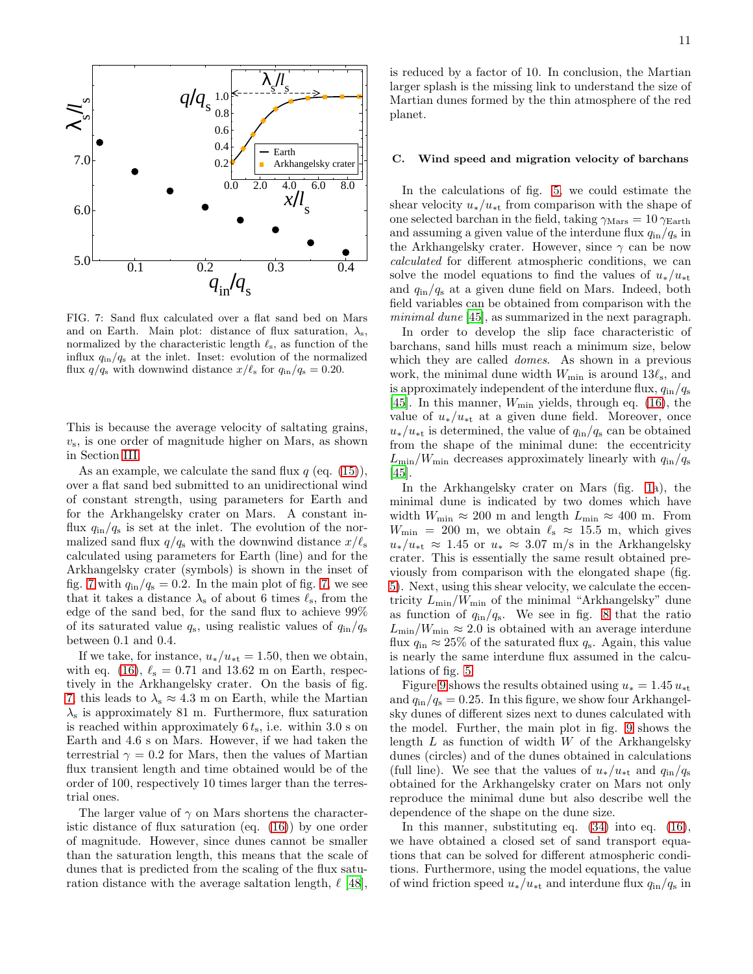

<span id="page-10-0"></span>FIG. 7: Sand flux calculated over a flat sand bed on Mars and on Earth. Main plot: distance of flux saturation,  $\lambda_{\rm s}$ , normalized by the characteristic length  $\ell_s$ , as function of the influx  $q_{\text{in}}/q_{\text{s}}$  at the inlet. Inset: evolution of the normalized flux  $q/q_s$  with downwind distance  $x/\ell_s$  for  $q_{\rm in}/q_s = 0.20$ .

This is because the average velocity of saltating grains,  $v<sub>s</sub>$ , is one order of magnitude higher on Mars, as shown in Section [III.](#page-5-0)

As an example, we calculate the sand flux  $q$  (eq. [\(15\)](#page-3-2)), over a flat sand bed submitted to an unidirectional wind of constant strength, using parameters for Earth and for the Arkhangelsky crater on Mars. A constant influx  $q_{\text{in}}/q_{\text{s}}$  is set at the inlet. The evolution of the normalized sand flux  $q/q_s$  with the downwind distance  $x/\ell_s$ calculated using parameters for Earth (line) and for the Arkhangelsky crater (symbols) is shown in the inset of fig. [7](#page-10-0) with  $q_{\rm in}/q_{\rm s} = 0.2$ . In the main plot of fig. [7,](#page-10-0) we see that it takes a distance  $\lambda_s$  of about 6 times  $\ell_s$ , from the edge of the sand bed, for the sand flux to achieve 99% of its saturated value  $q_s$ , using realistic values of  $q_{\rm in}/q_{\rm s}$ between 0.1 and 0.4.

If we take, for instance,  $u_*/u_{**} = 1.50$ , then we obtain, with eq. [\(16\)](#page-3-3),  $\ell_s = 0.71$  and 13.62 m on Earth, respectively in the Arkhangelsky crater. On the basis of fig. [7,](#page-10-0) this leads to  $\lambda_s \approx 4.3$  m on Earth, while the Martian  $\lambda_s$  is approximately 81 m. Furthermore, flux saturation is reached within approximately  $6 t<sub>s</sub>$ , i.e. within 3.0 s on Earth and 4.6 s on Mars. However, if we had taken the terrestrial  $\gamma = 0.2$  for Mars, then the values of Martian flux transient length and time obtained would be of the order of 100, respectively 10 times larger than the terrestrial ones.

The larger value of  $\gamma$  on Mars shortens the characteristic distance of flux saturation (eq. [\(16\)](#page-3-3)) by one order of magnitude. However, since dunes cannot be smaller than the saturation length, this means that the scale of dunes that is predicted from the scaling of the flux saturation distance with the average saltation length,  $\ell$  [\[48\]](#page-15-39),

is reduced by a factor of 10. In conclusion, the Martian larger splash is the missing link to understand the size of Martian dunes formed by the thin atmosphere of the red planet.

### C. Wind speed and migration velocity of barchans

In the calculations of fig. [5,](#page-9-0) we could estimate the shear velocity  $u_*/u_{**}$  from comparison with the shape of one selected barchan in the field, taking  $\gamma_{\text{Mars}} = 10 \gamma_{\text{Earth}}$ and assuming a given value of the interdune flux  $q_{\rm in}/q_{\rm s}$  in the Arkhangelsky crater. However, since  $\gamma$  can be now calculated for different atmospheric conditions, we can solve the model equations to find the values of  $u_*/u_{**}$ and  $q_{\rm in}/q_{\rm s}$  at a given dune field on Mars. Indeed, both field variables can be obtained from comparison with the minimal dune [\[45\]](#page-15-35), as summarized in the next paragraph.

In order to develop the slip face characteristic of barchans, sand hills must reach a minimum size, below which they are called *domes*. As shown in a previous work, the minimal dune width  $W_{\text{min}}$  is around  $13\ell_{\text{s}}$ , and is approximately independent of the interdune flux,  $q_{\rm in}/q_{\rm s}$ [\[45\]](#page-15-35). In this manner,  $W_{\text{min}}$  yields, through eq. [\(16\)](#page-3-3), the value of  $u_*/u_{**}$  at a given dune field. Moreover, once  $u_*/u_{**}$  is determined, the value of  $q_{\rm in}/q_{\rm s}$  can be obtained from the shape of the minimal dune: the eccentricity  $L_{\text{min}}/W_{\text{min}}$  decreases approximately linearly with  $q_{\text{in}}/q_{\text{s}}$ [\[45\]](#page-15-35).

In the Arkhangelsky crater on Mars (fig. [1a](#page-1-0)), the minimal dune is indicated by two domes which have width  $W_{\text{min}} \approx 200$  m and length  $L_{\text{min}} \approx 400$  m. From  $W_{\text{min}} = 200 \text{ m}$ , we obtain  $\ell_{\text{s}} \approx 15.5 \text{ m}$ , which gives  $u_*/u_{**} \approx 1.45$  or  $u_* \approx 3.07$  m/s in the Arkhangelsky crater. This is essentially the same result obtained previously from comparison with the elongated shape (fig. [5\)](#page-9-0). Next, using this shear velocity, we calculate the eccentricity  $L_{\text{min}}/W_{\text{min}}$  of the minimal "Arkhangelsky" dune as function of  $q_{\text{in}}/q_{\text{s}}$ . We see in fig. [8](#page-11-0) that the ratio  $L_{\text{min}}/W_{\text{min}} \approx 2.0$  is obtained with an average interdune flux  $q_{\rm in} \approx 25\%$  of the saturated flux  $q_{\rm s}$ . Again, this value is nearly the same interdune flux assumed in the calculations of fig. [5.](#page-9-0)

Figure [9](#page-12-0) shows the results obtained using  $u_* = 1.45 u_{*t}$ and  $q_{\rm in}/q_{\rm s} = 0.25$ . In this figure, we show four Arkhangelsky dunes of different sizes next to dunes calculated with the model. Further, the main plot in fig. [9](#page-12-0) shows the length  $L$  as function of width  $W$  of the Arkhangelsky dunes (circles) and of the dunes obtained in calculations (full line). We see that the values of  $u_*/u_{**}$  and  $q_{\rm in}/q_{\rm s}$ obtained for the Arkhangelsky crater on Mars not only reproduce the minimal dune but also describe well the dependence of the shape on the dune size.

In this manner, substituting eq.  $(34)$  into eq.  $(16)$ , we have obtained a closed set of sand transport equations that can be solved for different atmospheric conditions. Furthermore, using the model equations, the value of wind friction speed  $u_*/u_{**}$  and interdune flux  $q_{\rm in}/q_{\rm s}$  in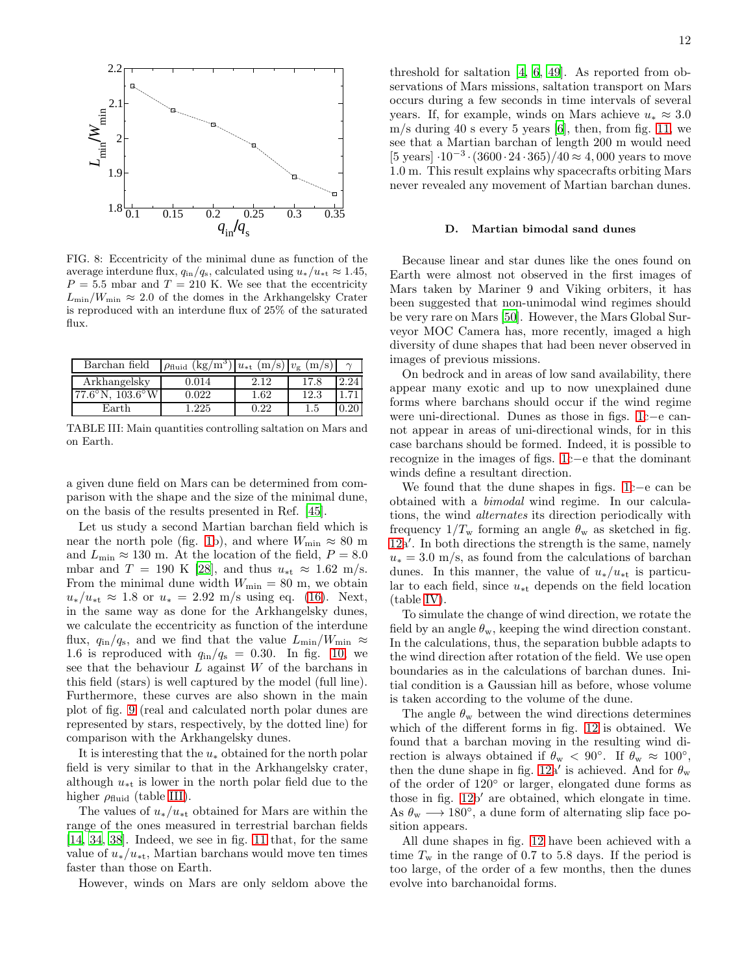

<span id="page-11-0"></span>FIG. 8: Eccentricity of the minimal dune as function of the average interdune flux,  $q_{\text{in}}/q_{\text{s}}$ , calculated using  $u_*/u_{\text{at}} \approx 1.45$ ,  $P = 5.5$  mbar and  $T = 210$  K. We see that the eccentricity  $L_{\text{min}}/W_{\text{min}} \approx 2.0$  of the domes in the Arkhangelsky Crater is reproduced with an interdune flux of 25% of the saturated flux.

| Barchan field                       | $(kg/m^3)$<br>$\rho_{\rm fluid}$ | $ u_{*t} \, (\text{m/s})   v_{\text{g}} \, (\text{m/s}) $ |      |  |
|-------------------------------------|----------------------------------|-----------------------------------------------------------|------|--|
| Arkhangelsky                        | 0.014                            | 2.12                                                      | 17.8 |  |
| $77.6^{\circ}$ N, $103.6^{\circ}$ W | 0.022                            | 1.62                                                      | 12.3 |  |
| Earth                               | 1.225                            | 0.22                                                      | 1.5  |  |

<span id="page-11-1"></span>TABLE III: Main quantities controlling saltation on Mars and on Earth.

a given dune field on Mars can be determined from comparison with the shape and the size of the minimal dune, on the basis of the results presented in Ref. [\[45\]](#page-15-35).

Let us study a second Martian barchan field which is near the north pole (fig. [1b](#page-1-0)), and where  $W_{\text{min}} \approx 80 \text{ m}$ and  $L_{\rm min} \approx 130$  m. At the location of the field,  $P=8.0$ mbar and T = 190 K [\[28](#page-15-18)], and thus  $u_{\ast t} \approx 1.62$  m/s. From the minimal dune width  $W_{\text{min}} = 80$  m, we obtain  $u_*/u_{*t} \approx 1.8$  or  $u_* = 2.92$  m/s using eq. [\(16\)](#page-3-3). Next, in the same way as done for the Arkhangelsky dunes, we calculate the eccentricity as function of the interdune flux,  $q_{\text{in}}/q_{\text{s}}$ , and we find that the value  $L_{\text{min}}/W_{\text{min}} \approx$ 1.6 is reproduced with  $q_{\rm in}/q_{\rm s} = 0.30$ . In fig. [10,](#page-12-1) we see that the behaviour  $L$  against  $W$  of the barchans in this field (stars) is well captured by the model (full line). Furthermore, these curves are also shown in the main plot of fig. [9](#page-12-0) (real and calculated north polar dunes are represented by stars, respectively, by the dotted line) for comparison with the Arkhangelsky dunes.

It is interesting that the  $u_*$  obtained for the north polar field is very similar to that in the Arkhangelsky crater, although  $u_{\ast t}$  is lower in the north polar field due to the higher  $\rho_{\text{fluid}}$  (table [III\)](#page-11-1).

The values of  $u_*/u_{**}$  obtained for Mars are within the range of the ones measured in terrestrial barchan fields [\[14,](#page-15-4) [34](#page-15-24), [38](#page-15-28)]. Indeed, we see in fig. [11](#page-12-2) that, for the same value of  $u_*/u_{**}$ , Martian barchans would move ten times faster than those on Earth.

However, winds on Mars are only seldom above the

threshold for saltation [\[4,](#page-14-3) [6,](#page-14-5) [49\]](#page-15-36). As reported from observations of Mars missions, saltation transport on Mars occurs during a few seconds in time intervals of several years. If, for example, winds on Mars achieve  $u_* \approx 3.0$ m/s during 40 s every 5 years [\[6](#page-14-5)], then, from fig. [11,](#page-12-2) we see that a Martian barchan of length 200 m would need [5 years]  $\cdot 10^{-3} \cdot (3600 \cdot 24 \cdot 365)/40 \approx 4,000$  years to move 1.0 m. This result explains why spacecrafts orbiting Mars never revealed any movement of Martian barchan dunes.

### D. Martian bimodal sand dunes

Because linear and star dunes like the ones found on Earth were almost not observed in the first images of Mars taken by Mariner 9 and Viking orbiters, it has been suggested that non-unimodal wind regimes should be very rare on Mars [\[50](#page-15-40)]. However, the Mars Global Surveyor MOC Camera has, more recently, imaged a high diversity of dune shapes that had been never observed in images of previous missions.

On bedrock and in areas of low sand availability, there appear many exotic and up to now unexplained dune forms where barchans should occur if the wind regime were uni-directional. Dunes as those in figs. [1c](#page-1-0)−e cannot appear in areas of uni-directional winds, for in this case barchans should be formed. Indeed, it is possible to recognize in the images of figs. [1c](#page-1-0)−e that the dominant winds define a resultant direction.

We found that the dune shapes in figs. [1c](#page-1-0)−e can be obtained with a bimodal wind regime. In our calculations, the wind alternates its direction periodically with frequency  $1/T_{\rm w}$  forming an angle  $\theta_{\rm w}$  as sketched in fig. [12a](#page-13-1)′ . In both directions the strength is the same, namely  $u_* = 3.0$  m/s, as found from the calculations of barchan dunes. In this manner, the value of  $u_*/u_{**}$  is particular to each field, since  $u_{\ast t}$  depends on the field location (table [IV\)](#page-13-2).

To simulate the change of wind direction, we rotate the field by an angle  $\theta_{\rm w}$ , keeping the wind direction constant. In the calculations, thus, the separation bubble adapts to the wind direction after rotation of the field. We use open boundaries as in the calculations of barchan dunes. Initial condition is a Gaussian hill as before, whose volume is taken according to the volume of the dune.

The angle  $\theta_{\rm w}$  between the wind directions determines which of the different forms in fig. [12](#page-13-1) is obtained. We found that a barchan moving in the resulting wind direction is always obtained if  $\theta_{\rm w} < 90^{\circ}$ . If  $\theta_{\rm w} \approx 100^{\circ}$ , then the dune shape in fig. [12a](#page-13-1)' is achieved. And for  $\theta_{w}$ of the order of 120◦ or larger, elongated dune forms as those in fig. [12b](#page-13-1)′ are obtained, which elongate in time. As  $\theta_{\rm w} \longrightarrow 180^{\circ}$ , a dune form of alternating slip face position appears.

All dune shapes in fig. [12](#page-13-1) have been achieved with a time  $T_{\rm w}$  in the range of 0.7 to 5.8 days. If the period is too large, of the order of a few months, then the dunes evolve into barchanoidal forms.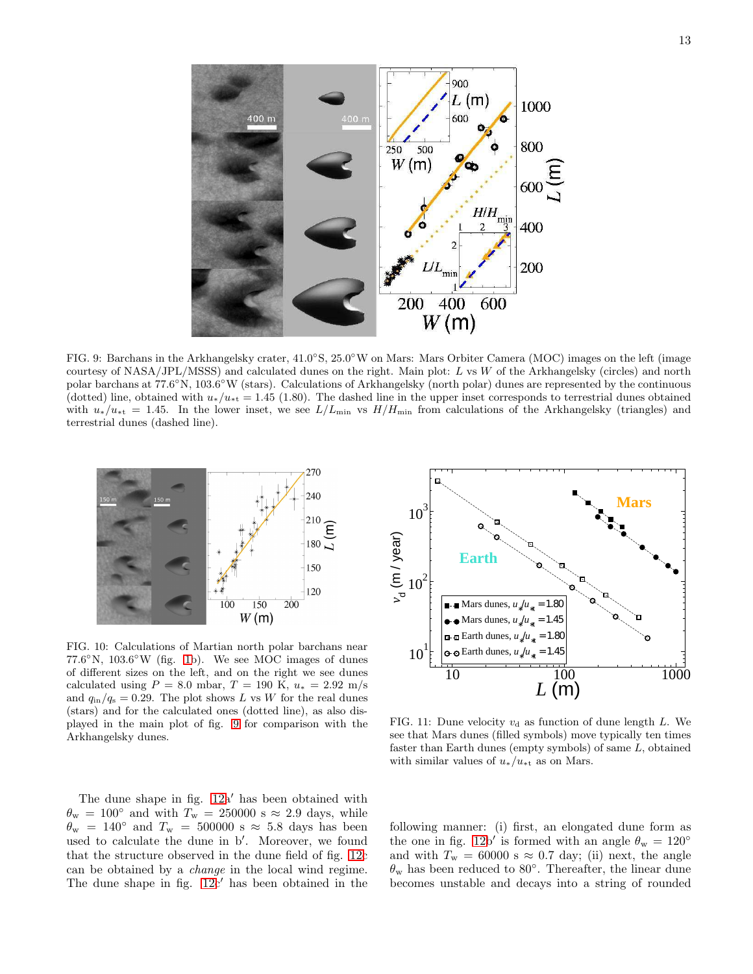

<span id="page-12-0"></span>FIG. 9: Barchans in the Arkhangelsky crater,  $41.0^{\circ}$ S,  $25.0^{\circ}$ W on Mars: Mars Orbiter Camera (MOC) images on the left (image courtesy of NASA/JPL/MSSS) and calculated dunes on the right. Main plot: L vs W of the Arkhangelsky (circles) and north polar barchans at 77.6°N, 103.6°W (stars). Calculations of Arkhangelsky (north polar) dunes are represented by the continuous (dotted) line, obtained with  $u_*/u_{**} = 1.45$  (1.80). The dashed line in the upper inset corresponds to terrestrial dunes obtained with  $u_*/u_{*t} = 1.45$ . In the lower inset, we see  $L/L_{\text{min}}$  vs  $H/H_{\text{min}}$  from calculations of the Arkhangelsky (triangles) and terrestrial dunes (dashed line).



<span id="page-12-1"></span>FIG. 10: Calculations of Martian north polar barchans near  $77.6^{\circ}$ N,  $103.6^{\circ}$ W (fig. [1b](#page-1-0)). We see MOC images of dunes of different sizes on the left, and on the right we see dunes calculated using  $P = 8.0$  mbar,  $T = 190$  K,  $u_* = 2.92$  m/s and  $q_{\rm in}/q_{\rm s} = 0.29$ . The plot shows L vs W for the real dunes (stars) and for the calculated ones (dotted line), as also displayed in the main plot of fig. [9](#page-12-0) for comparison with the Arkhangelsky dunes.





<span id="page-12-2"></span>FIG. 11: Dune velocity  $v_d$  as function of dune length L. We see that Mars dunes (filled symbols) move typically ten times faster than Earth dunes (empty symbols) of same L, obtained with similar values of  $u_*/u_{**}$  as on Mars.

following manner: (i) first, an elongated dune form as the one in fig. [12b](#page-13-1)' is formed with an angle  $\theta_{\rm w} = 120^{\circ}$ and with  $T_w = 60000$  s  $\approx 0.7$  day; (ii) next, the angle  $\theta_{\rm w}$  has been reduced to 80°. Thereafter, the linear dune becomes unstable and decays into a string of rounded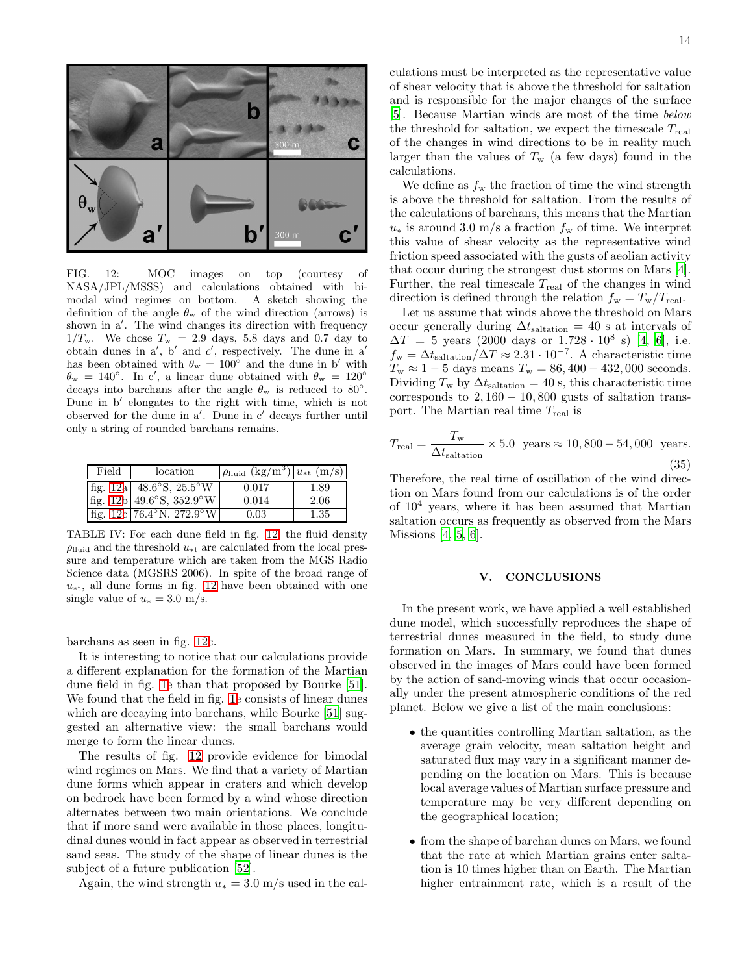culations must be interpreted as the representative value of shear velocity that is above the threshold for saltation and is responsible for the major changes of the surface [\[5\]](#page-14-4). Because Martian winds are most of the time below the threshold for saltation, we expect the timescale  $T_{\text{real}}$ of the changes in wind directions to be in reality much larger than the values of  $T_w$  (a few days) found in the calculations.

We define as  $f_w$  the fraction of time the wind strength is above the threshold for saltation. From the results of the calculations of barchans, this means that the Martian  $u_*$  is around 3.0 m/s a fraction  $f_{\rm w}$  of time. We interpret this value of shear velocity as the representative wind friction speed associated with the gusts of aeolian activity that occur during the strongest dust storms on Mars [\[4\]](#page-14-3). Further, the real timescale  $T_{\text{real}}$  of the changes in wind direction is defined through the relation  $f_{\rm w} = T_{\rm w}/T_{\rm real}$ .

Let us assume that winds above the threshold on Mars occur generally during  $\Delta t_{\text{saltation}} = 40$  s at intervals of  $\Delta T = 5$  years (2000 days or 1.728 · 10<sup>8</sup> s) [\[4,](#page-14-3) [6\]](#page-14-5), i.e.  $f_{\rm w} = \Delta t_{\rm salitation}/\Delta T \approx 2.31 \cdot 10^{-7}$ . A characteristic time  $T_{\rm w} \approx 1 - 5$  days means  $T_{\rm w} = 86, 400 - 432, 000$  seconds. Dividing  $T_w$  by  $\Delta t_{\text{saltation}} = 40 \text{ s, this characteristic time}$ corresponds to  $2,160 - 10,800$  gusts of saltation transport. The Martian real time Treal is

$$
T_{\text{real}} = \frac{T_{\text{w}}}{\Delta t_{\text{saltation}}} \times 5.0 \text{ years} \approx 10,800 - 54,000 \text{ years.}
$$
\n(35)

Therefore, the real time of oscillation of the wind direction on Mars found from our calculations is of the order of  $10<sup>4</sup>$  years, where it has been assumed that Martian saltation occurs as frequently as observed from the Mars Missions [\[4](#page-14-3), [5](#page-14-4), [6](#page-14-5)].

### <span id="page-13-0"></span>V. CONCLUSIONS

In the present work, we have applied a well established dune model, which successfully reproduces the shape of terrestrial dunes measured in the field, to study dune formation on Mars. In summary, we found that dunes observed in the images of Mars could have been formed by the action of sand-moving winds that occur occasionally under the present atmospheric conditions of the red planet. Below we give a list of the main conclusions:

- the quantities controlling Martian saltation, as the average grain velocity, mean saltation height and saturated flux may vary in a significant manner depending on the location on Mars. This is because local average values of Martian surface pressure and temperature may be very different depending on the geographical location;
- from the shape of barchan dunes on Mars, we found that the rate at which Martian grains enter saltation is 10 times higher than on Earth. The Martian higher entrainment rate, which is a result of the



<span id="page-13-1"></span>FIG. 12: MOC images on top (courtesy of NASA/JPL/MSSS) and calculations obtained with bimodal wind regimes on bottom. A sketch showing the definition of the angle  $\theta_{\rm w}$  of the wind direction (arrows) is shown in a′ . The wind changes its direction with frequency  $1/T_w$ . We chose  $T_w = 2.9$  days, 5.8 days and 0.7 day to obtain dunes in  $a'$ ,  $b'$  and  $c'$ , respectively. The dune in  $a'$ has been obtained with  $\theta_{\rm w} = 100^{\circ}$  and the dune in b' with  $\theta_{\rm w} = 140^{\circ}$ . In c', a linear dune obtained with  $\theta_{\rm w} = 120^{\circ}$ decays into barchans after the angle  $\theta_w$  is reduced to 80°. Dune in b′ elongates to the right with time, which is not observed for the dune in a′ . Dune in c′ decays further until only a string of rounded barchans remains.

| Field | location                            | $\rho_{\text{fluid}}$ (kg/m <sup>3</sup> ) $u_{*t}$ (m/s) |      |
|-------|-------------------------------------|-----------------------------------------------------------|------|
|       | fig. $12a$ 48.6°S, $25.5^{\circ}$ W | 0.017                                                     | 1.89 |
|       | fig. $12b$ 49.6°S, $352.9$ °W       | 0.014                                                     | 2.06 |
|       | fig. $12c$ 76.4°N, $272.9°W$        | 0.03                                                      | 1.35 |

<span id="page-13-2"></span>TABLE IV: For each dune field in fig. [12,](#page-13-1) the fluid density  $\rho_{\text{fluid}}$  and the threshold  $u_{\ast t}$  are calculated from the local pressure and temperature which are taken from the MGS Radio Science data (MGSRS 2006). In spite of the broad range of  $u_{\ast t}$ , all dune forms in fig. [12](#page-13-1) have been obtained with one single value of  $u_* = 3.0$  m/s.

barchans as seen in fig. [12c](#page-13-1).

It is interesting to notice that our calculations provide a different explanation for the formation of the Martian dune field in fig. [1e](#page-1-0) than that proposed by Bourke [\[51\]](#page-15-41). We found that the field in fig. [1e](#page-1-0) consists of linear dunes which are decaying into barchans, while Bourke [\[51\]](#page-15-41) suggested an alternative view: the small barchans would merge to form the linear dunes.

The results of fig. [12](#page-13-1) provide evidence for bimodal wind regimes on Mars. We find that a variety of Martian dune forms which appear in craters and which develop on bedrock have been formed by a wind whose direction alternates between two main orientations. We conclude that if more sand were available in those places, longitudinal dunes would in fact appear as observed in terrestrial sand seas. The study of the shape of linear dunes is the subject of a future publication [\[52\]](#page-15-42).

Again, the wind strength  $u_* = 3.0$  m/s used in the cal-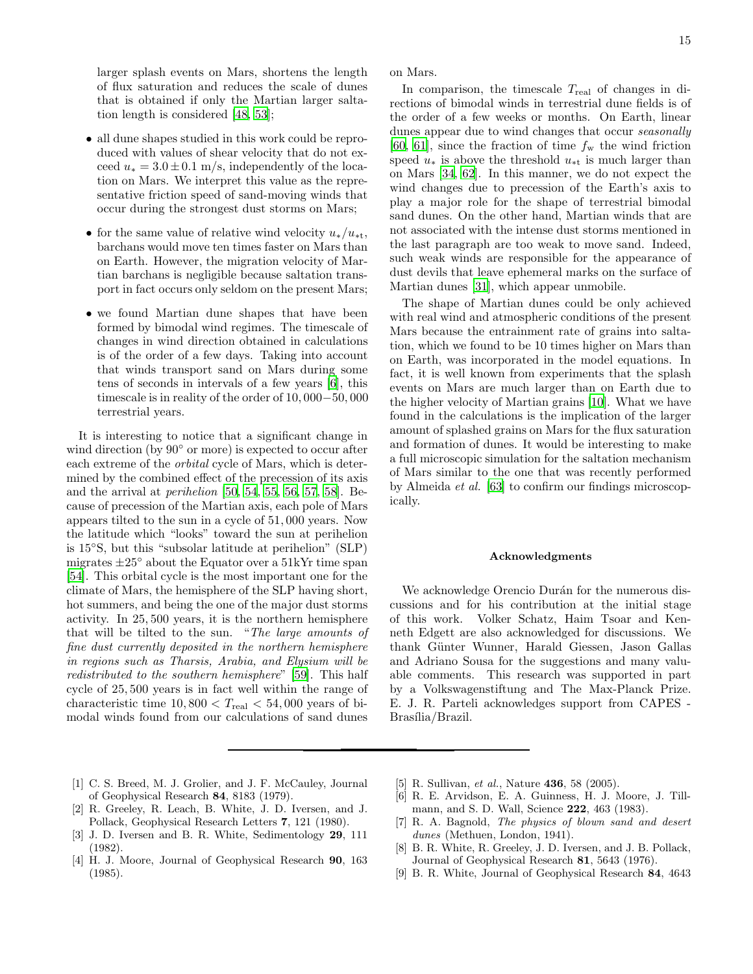larger splash events on Mars, shortens the length of flux saturation and reduces the scale of dunes that is obtained if only the Martian larger saltation length is considered [\[48](#page-15-39), [53\]](#page-15-43);

- all dune shapes studied in this work could be reproduced with values of shear velocity that do not exceed  $u_* = 3.0 \pm 0.1$  m/s, independently of the location on Mars. We interpret this value as the representative friction speed of sand-moving winds that occur during the strongest dust storms on Mars;
- for the same value of relative wind velocity  $u_*/u_{**}$ , barchans would move ten times faster on Mars than on Earth. However, the migration velocity of Martian barchans is negligible because saltation transport in fact occurs only seldom on the present Mars;
- we found Martian dune shapes that have been formed by bimodal wind regimes. The timescale of changes in wind direction obtained in calculations is of the order of a few days. Taking into account that winds transport sand on Mars during some tens of seconds in intervals of a few years [\[6\]](#page-14-5), this timescale is in reality of the order of 10, 000−50, 000 terrestrial years.

It is interesting to notice that a significant change in wind direction (by 90◦ or more) is expected to occur after each extreme of the orbital cycle of Mars, which is determined by the combined effect of the precession of its axis and the arrival at perihelion [\[50](#page-15-40), [54](#page-15-44), [55](#page-15-45), [56,](#page-15-46) [57,](#page-15-47) [58\]](#page-15-48). Because of precession of the Martian axis, each pole of Mars appears tilted to the sun in a cycle of 51, 000 years. Now the latitude which "looks" toward the sun at perihelion is 15◦S, but this "subsolar latitude at perihelion" (SLP) migrates  $\pm 25^{\circ}$  about the Equator over a 51kYr time span [\[54\]](#page-15-44). This orbital cycle is the most important one for the climate of Mars, the hemisphere of the SLP having short, hot summers, and being the one of the major dust storms activity. In 25, 500 years, it is the northern hemisphere that will be tilted to the sun. "The large amounts of fine dust currently deposited in the northern hemisphere in regions such as Tharsis, Arabia, and Elysium will be redistributed to the southern hemisphere" [\[59\]](#page-15-49). This half cycle of 25, 500 years is in fact well within the range of characteristic time  $10,800 < T_{\text{real}} < 54,000$  years of bimodal winds found from our calculations of sand dunes

- <span id="page-14-0"></span>[1] C. S. Breed, M. J. Grolier, and J. F. McCauley, Journal of Geophysical Research 84, 8183 (1979).
- <span id="page-14-1"></span>[2] R. Greeley, R. Leach, B. White, J. D. Iversen, and J. Pollack, Geophysical Research Letters 7, 121 (1980).
- <span id="page-14-2"></span>[3] J. D. Iversen and B. R. White, Sedimentology 29, 111 (1982).
- <span id="page-14-3"></span>[4] H. J. Moore, Journal of Geophysical Research 90, 163 (1985).

on Mars.

In comparison, the timescale  $T_{\text{real}}$  of changes in directions of bimodal winds in terrestrial dune fields is of the order of a few weeks or months. On Earth, linear dunes appear due to wind changes that occur *seasonally* [\[60,](#page-15-50) [61\]](#page-15-51), since the fraction of time  $f_w$  the wind friction speed  $u_*$  is above the threshold  $u_{**}$  is much larger than on Mars [\[34,](#page-15-24) [62](#page-15-52)]. In this manner, we do not expect the wind changes due to precession of the Earth's axis to play a major role for the shape of terrestrial bimodal sand dunes. On the other hand, Martian winds that are not associated with the intense dust storms mentioned in the last paragraph are too weak to move sand. Indeed, such weak winds are responsible for the appearance of dust devils that leave ephemeral marks on the surface of Martian dunes [\[31\]](#page-15-21), which appear unmobile.

The shape of Martian dunes could be only achieved with real wind and atmospheric conditions of the present Mars because the entrainment rate of grains into saltation, which we found to be 10 times higher on Mars than on Earth, was incorporated in the model equations. In fact, it is well known from experiments that the splash events on Mars are much larger than on Earth due to the higher velocity of Martian grains [\[10\]](#page-15-0). What we have found in the calculations is the implication of the larger amount of splashed grains on Mars for the flux saturation and formation of dunes. It would be interesting to make a full microscopic simulation for the saltation mechanism of Mars similar to the one that was recently performed by Almeida et al. [\[63](#page-15-53)] to confirm our findings microscopically.

### Acknowledgments

We acknowledge Orencio Duran for the numerous discussions and for his contribution at the initial stage of this work. Volker Schatz, Haim Tsoar and Kenneth Edgett are also acknowledged for discussions. We thank Günter Wunner, Harald Giessen, Jason Gallas and Adriano Sousa for the suggestions and many valuable comments. This research was supported in part by a Volkswagenstiftung and The Max-Planck Prize. E. J. R. Parteli acknowledges support from CAPES - Brasília/Brazil.

- <span id="page-14-4"></span>[5] R. Sullivan, et al., Nature **436**, 58 (2005).
- <span id="page-14-5"></span>[6] R. E. Arvidson, E. A. Guinness, H. J. Moore, J. Tillmann, and S. D. Wall, Science 222, 463 (1983).
- <span id="page-14-6"></span>[7] R. A. Bagnold, The physics of blown sand and desert dunes (Methuen, London, 1941).
- <span id="page-14-7"></span>[8] B. R. White, R. Greeley, J. D. Iversen, and J. B. Pollack, Journal of Geophysical Research 81, 5643 (1976).
- <span id="page-14-8"></span>[9] B. R. White, Journal of Geophysical Research 84, 4643